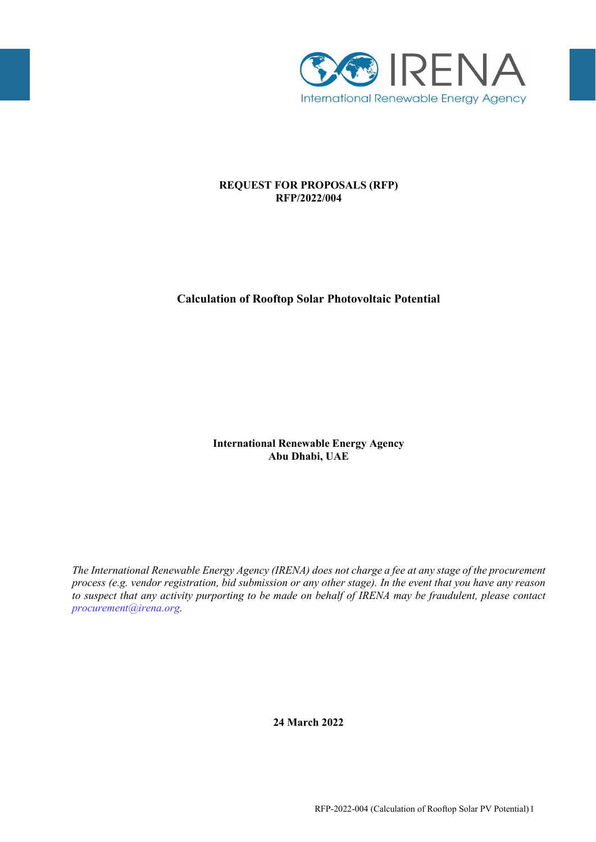

# **REQUEST FOR PROPOSALS (RFP) RFP/2022/004**

# **Calculation of Rooftop Solar Photovoltaic Potential**

**International Renewable Energy Agency Abu Dhabi, UAE**

*The International Renewable Energy Agency (IRENA) does not charge a fee at any stage of the procurement process (e.g. vendor registration, bid submission or any other stage). In the event that you have any reason to suspect that any activity purporting to be made on behalf of IRENA may be fraudulent, please contact [procurement@irena.org.](mailto:procurement@irena.org)*

**24 March 2022**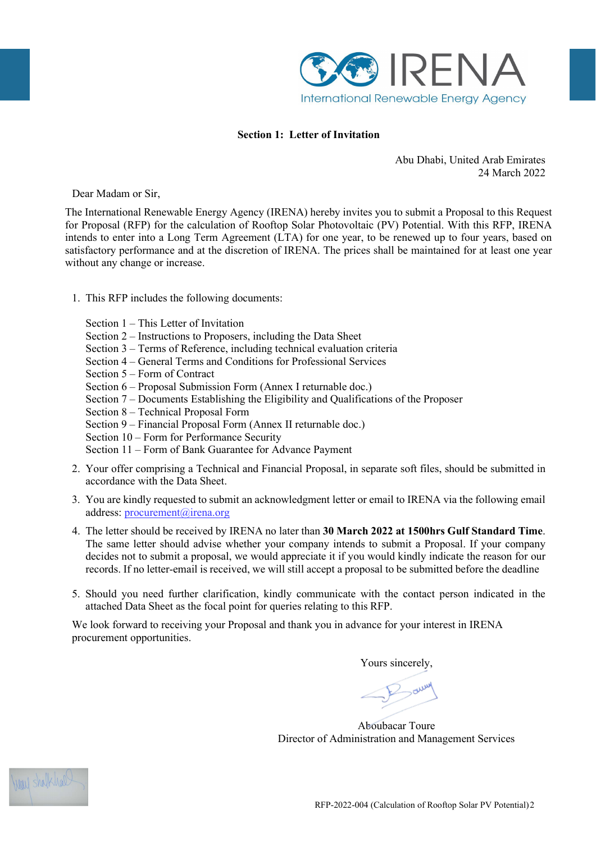

## **Section 1: Letter of Invitation**

Abu Dhabi, United Arab Emirates 24 March 2022

Dear Madam or Sir,

The International Renewable Energy Agency (IRENA) hereby invites you to submit a Proposal to this Request for Proposal (RFP) for the calculation of Rooftop Solar Photovoltaic (PV) Potential. With this RFP, IRENA intends to enter into a Long Term Agreement (LTA) for one year, to be renewed up to four years, based on satisfactory performance and at the discretion of IRENA. The prices shall be maintained for at least one year without any change or increase.

- 1. This RFP includes the following documents:
	- Section 1 This Letter of Invitation
	- Section 2 Instructions to Proposers, including the Data Sheet
	- Section 3 Terms of Reference, including technical evaluation criteria
	- Section 4 General Terms and Conditions for Professional Services
	- Section 5 Form of Contract
	- Section 6 Proposal Submission Form (Annex I returnable doc.)
	- Section 7 Documents Establishing the Eligibility and Qualifications of the Proposer
	- Section 8 Technical Proposal Form
	- Section 9 Financial Proposal Form (Annex II returnable doc.)
	- Section 10 Form for Performance Security
	- Section 11 Form of Bank Guarantee for Advance Payment
- 2. Your offer comprising a Technical and Financial Proposal, in separate soft files, should be submitted in accordance with the Data Sheet.
- 3. You are kindly requested to submit an acknowledgment letter or email to IRENA via the following email address: [procurement@irena.org](mailto:procurement@irena.org)
- 4. The letter should be received by IRENA no later than **30 March 2022 at 1500hrs Gulf Standard Time**. The same letter should advise whether your company intends to submit a Proposal. If your company decides not to submit a proposal, we would appreciate it if you would kindly indicate the reason for our records. If no letter-email is received, we will still accept a proposal to be submitted before the deadline
- 5. Should you need further clarification, kindly communicate with the contact person indicated in the attached Data Sheet as the focal point for queries relating to this RFP.

We look forward to receiving your Proposal and thank you in advance for your interest in IRENA procurement opportunities.

Yours sincerely,

Aboubacar Toure Director of Administration and Management Services

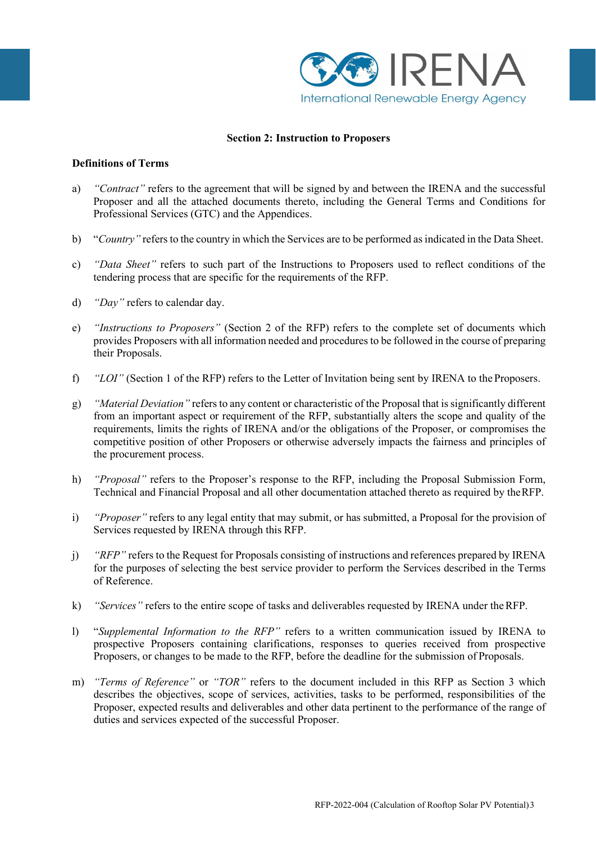

## **Section 2: Instruction to Proposers**

#### **Definitions of Terms**

- a) *"Contract"* refers to the agreement that will be signed by and between the IRENA and the successful Proposer and all the attached documents thereto, including the General Terms and Conditions for Professional Services (GTC) and the Appendices.
- b) "*Country*" refers to the country in which the Services are to be performed as indicated in the Data Sheet.
- c) *"Data Sheet"* refers to such part of the Instructions to Proposers used to reflect conditions of the tendering process that are specific for the requirements of the RFP.
- d) *"Day"* refers to calendar day.
- e) *"Instructions to Proposers"* (Section 2 of the RFP) refers to the complete set of documents which provides Proposers with all information needed and proceduresto be followed in the course of preparing their Proposals.
- f) *"LOI"* (Section 1 of the RFP) refers to the Letter of Invitation being sent by IRENA to the Proposers.
- g) *"Material Deviation"* refers to any content or characteristic of the Proposal that issignificantly different from an important aspect or requirement of the RFP, substantially alters the scope and quality of the requirements, limits the rights of IRENA and/or the obligations of the Proposer, or compromises the competitive position of other Proposers or otherwise adversely impacts the fairness and principles of the procurement process.
- h) *"Proposal"* refers to the Proposer's response to the RFP, including the Proposal Submission Form, Technical and Financial Proposal and all other documentation attached thereto as required by theRFP.
- i) *"Proposer"* refers to any legal entity that may submit, or has submitted, a Proposal for the provision of Services requested by IRENA through this RFP.
- j) *"RFP"* refers to the Request for Proposals consisting of instructions and references prepared by IRENA for the purposes of selecting the best service provider to perform the Services described in the Terms of Reference.
- k) *"Services"* refers to the entire scope of tasks and deliverables requested by IRENA under theRFP.
- l) "*Supplemental Information to the RFP"* refers to a written communication issued by IRENA to prospective Proposers containing clarifications, responses to queries received from prospective Proposers, or changes to be made to the RFP, before the deadline for the submission of Proposals.
- m) *"Terms of Reference"* or *"TOR"* refers to the document included in this RFP as Section 3 which describes the objectives, scope of services, activities, tasks to be performed, responsibilities of the Proposer, expected results and deliverables and other data pertinent to the performance of the range of duties and services expected of the successful Proposer.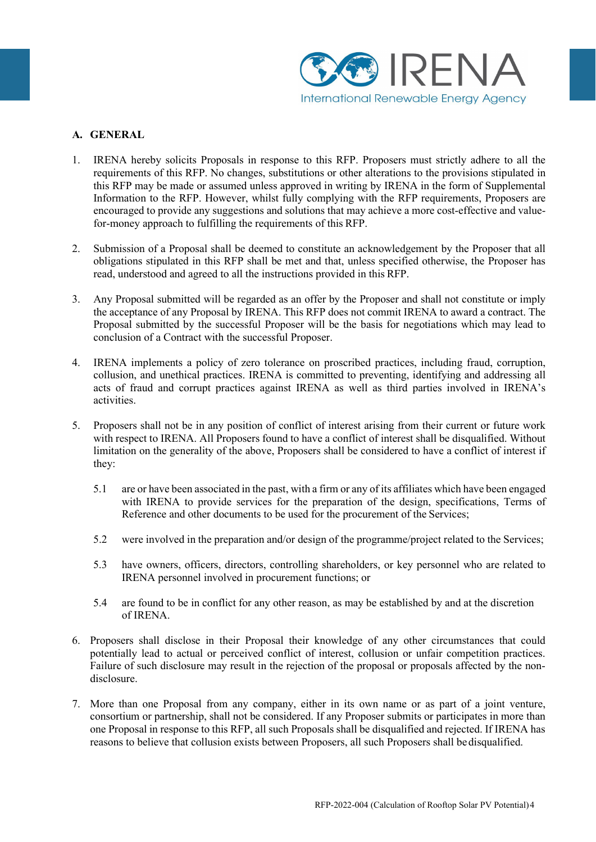

## **A. GENERAL**

- 1. IRENA hereby solicits Proposals in response to this RFP. Proposers must strictly adhere to all the requirements of this RFP. No changes, substitutions or other alterations to the provisions stipulated in this RFP may be made or assumed unless approved in writing by IRENA in the form of Supplemental Information to the RFP. However, whilst fully complying with the RFP requirements, Proposers are encouraged to provide any suggestions and solutions that may achieve a more cost-effective and valuefor-money approach to fulfilling the requirements of this RFP.
- 2. Submission of a Proposal shall be deemed to constitute an acknowledgement by the Proposer that all obligations stipulated in this RFP shall be met and that, unless specified otherwise, the Proposer has read, understood and agreed to all the instructions provided in this RFP.
- 3. Any Proposal submitted will be regarded as an offer by the Proposer and shall not constitute or imply the acceptance of any Proposal by IRENA. This RFP does not commit IRENA to award a contract. The Proposal submitted by the successful Proposer will be the basis for negotiations which may lead to conclusion of a Contract with the successful Proposer.
- 4. IRENA implements a policy of zero tolerance on proscribed practices, including fraud, corruption, collusion, and unethical practices. IRENA is committed to preventing, identifying and addressing all acts of fraud and corrupt practices against IRENA as well as third parties involved in IRENA's activities.
- 5. Proposers shall not be in any position of conflict of interest arising from their current or future work with respect to IRENA. All Proposers found to have a conflict of interest shall be disqualified. Without limitation on the generality of the above, Proposers shall be considered to have a conflict of interest if they:
	- 5.1 are or have been associated in the past, with a firm or any of its affiliates which have been engaged with IRENA to provide services for the preparation of the design, specifications, Terms of Reference and other documents to be used for the procurement of the Services;
	- 5.2 were involved in the preparation and/or design of the programme/project related to the Services;
	- 5.3 have owners, officers, directors, controlling shareholders, or key personnel who are related to IRENA personnel involved in procurement functions; or
	- 5.4 are found to be in conflict for any other reason, as may be established by and at the discretion of IRENA.
- 6. Proposers shall disclose in their Proposal their knowledge of any other circumstances that could potentially lead to actual or perceived conflict of interest, collusion or unfair competition practices. Failure of such disclosure may result in the rejection of the proposal or proposals affected by the nondisclosure.
- 7. More than one Proposal from any company, either in its own name or as part of a joint venture, consortium or partnership, shall not be considered. If any Proposer submits or participates in more than one Proposal in response to this RFP, all such Proposals shall be disqualified and rejected. If IRENA has reasons to believe that collusion exists between Proposers, all such Proposers shall bedisqualified.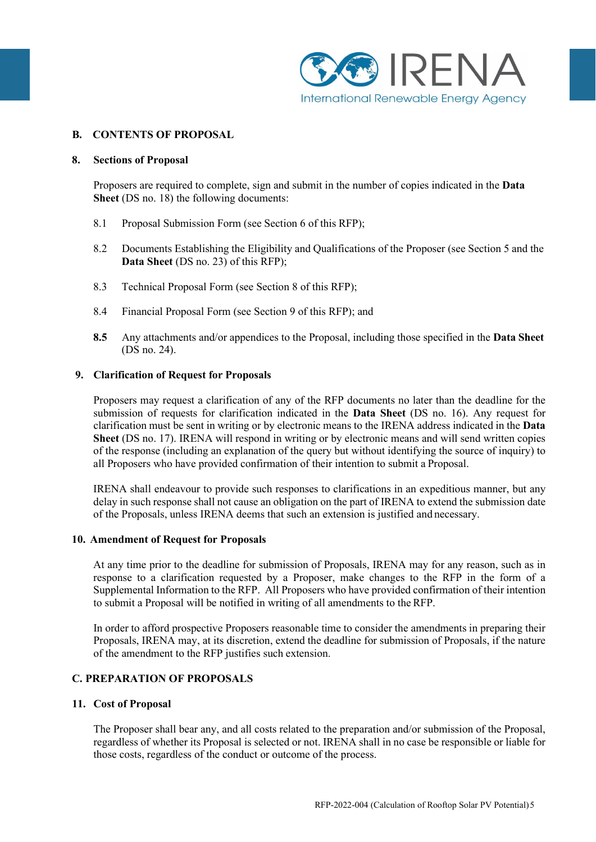

## **B. CONTENTS OF PROPOSAL**

#### **8. Sections of Proposal**

Proposers are required to complete, sign and submit in the number of copies indicated in the **Data Sheet** (DS no. 18) the following documents:

- 8.1 Proposal Submission Form (see Section 6 of this RFP);
- 8.2 Documents Establishing the Eligibility and Qualifications of the Proposer (see Section 5 and the **Data Sheet** (DS no. 23) of this RFP);
- 8.3 Technical Proposal Form (see Section 8 of this RFP);
- 8.4 Financial Proposal Form (see Section 9 of this RFP); and
- **8.5** Any attachments and/or appendices to the Proposal, including those specified in the **Data Sheet** (DS no. 24).

#### **9. Clarification of Request for Proposals**

Proposers may request a clarification of any of the RFP documents no later than the deadline for the submission of requests for clarification indicated in the **Data Sheet** (DS no. 16). Any request for clarification must be sent in writing or by electronic means to the IRENA address indicated in the **Data Sheet** (DS no. 17). IRENA will respond in writing or by electronic means and will send written copies of the response (including an explanation of the query but without identifying the source of inquiry) to all Proposers who have provided confirmation of their intention to submit a Proposal.

IRENA shall endeavour to provide such responses to clarifications in an expeditious manner, but any delay in such response shall not cause an obligation on the part of IRENA to extend the submission date of the Proposals, unless IRENA deems that such an extension is justified and necessary.

#### **10. Amendment of Request for Proposals**

At any time prior to the deadline for submission of Proposals, IRENA may for any reason, such as in response to a clarification requested by a Proposer, make changes to the RFP in the form of a Supplemental Information to the RFP. All Proposers who have provided confirmation of their intention to submit a Proposal will be notified in writing of all amendments to the RFP.

In order to afford prospective Proposers reasonable time to consider the amendments in preparing their Proposals, IRENA may, at its discretion, extend the deadline for submission of Proposals, if the nature of the amendment to the RFP justifies such extension.

## **C. PREPARATION OF PROPOSALS**

#### **11. Cost of Proposal**

The Proposer shall bear any, and all costs related to the preparation and/or submission of the Proposal, regardless of whether its Proposal is selected or not. IRENA shall in no case be responsible or liable for those costs, regardless of the conduct or outcome of the process.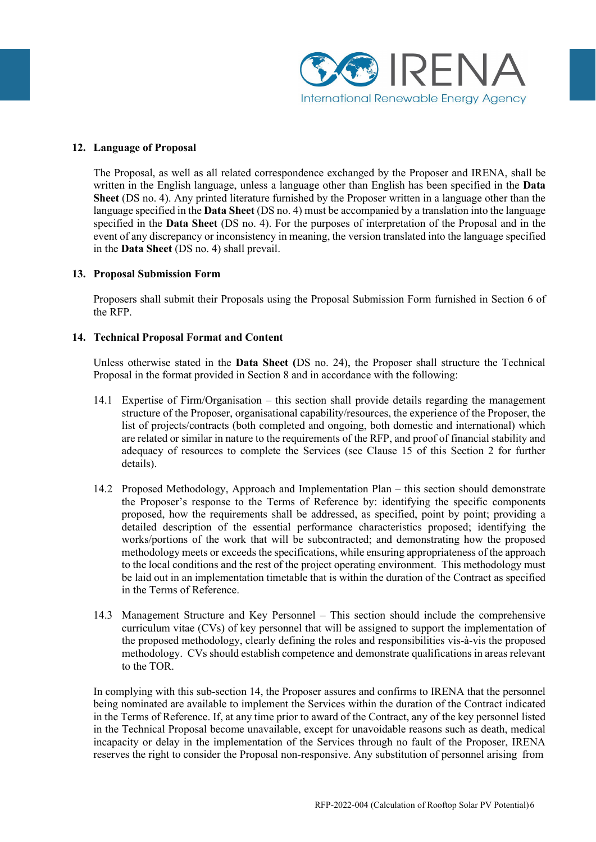

#### **12. Language of Proposal**

The Proposal, as well as all related correspondence exchanged by the Proposer and IRENA, shall be written in the English language, unless a language other than English has been specified in the **Data Sheet** (DS no. 4). Any printed literature furnished by the Proposer written in a language other than the language specified in the **Data Sheet** (DS no. 4) must be accompanied by a translation into the language specified in the **Data Sheet** (DS no. 4). For the purposes of interpretation of the Proposal and in the event of any discrepancy or inconsistency in meaning, the version translated into the language specified in the **Data Sheet** (DS no. 4) shall prevail.

#### **13. Proposal Submission Form**

Proposers shall submit their Proposals using the Proposal Submission Form furnished in Section 6 of the RFP.

#### **14. Technical Proposal Format and Content**

Unless otherwise stated in the **Data Sheet (**DS no. 24), the Proposer shall structure the Technical Proposal in the format provided in Section 8 and in accordance with the following:

- 14.1 Expertise of Firm/Organisation this section shall provide details regarding the management structure of the Proposer, organisational capability/resources, the experience of the Proposer, the list of projects/contracts (both completed and ongoing, both domestic and international) which are related or similar in nature to the requirements of the RFP, and proof of financial stability and adequacy of resources to complete the Services (see Clause 15 of this Section 2 for further details).
- 14.2 Proposed Methodology, Approach and Implementation Plan this section should demonstrate the Proposer's response to the Terms of Reference by: identifying the specific components proposed, how the requirements shall be addressed, as specified, point by point; providing a detailed description of the essential performance characteristics proposed; identifying the works/portions of the work that will be subcontracted; and demonstrating how the proposed methodology meets or exceeds the specifications, while ensuring appropriateness of the approach to the local conditions and the rest of the project operating environment. This methodology must be laid out in an implementation timetable that is within the duration of the Contract as specified in the Terms of Reference.
- 14.3 Management Structure and Key Personnel This section should include the comprehensive curriculum vitae (CVs) of key personnel that will be assigned to support the implementation of the proposed methodology, clearly defining the roles and responsibilities vis-à-vis the proposed methodology. CVs should establish competence and demonstrate qualifications in areas relevant to the TOR.

In complying with this sub-section 14, the Proposer assures and confirms to IRENA that the personnel being nominated are available to implement the Services within the duration of the Contract indicated in the Terms of Reference. If, at any time prior to award of the Contract, any of the key personnel listed in the Technical Proposal become unavailable, except for unavoidable reasons such as death, medical incapacity or delay in the implementation of the Services through no fault of the Proposer, IRENA reserves the right to consider the Proposal non-responsive. Any substitution of personnel arising from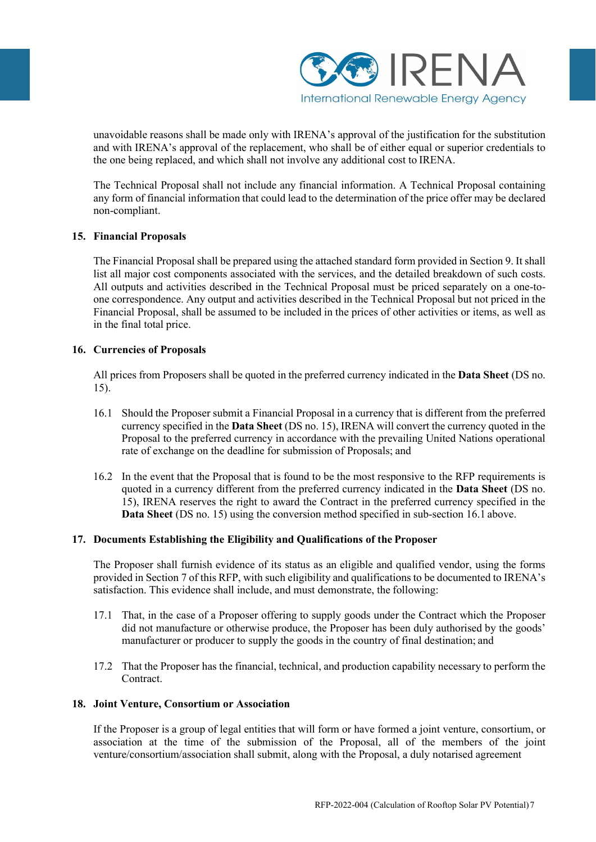

unavoidable reasons shall be made only with IRENA's approval of the justification for the substitution and with IRENA's approval of the replacement, who shall be of either equal or superior credentials to the one being replaced, and which shall not involve any additional cost to IRENA.

The Technical Proposal shall not include any financial information. A Technical Proposal containing any form of financial information that could lead to the determination of the price offer may be declared non-compliant.

## **15. Financial Proposals**

The Financial Proposal shall be prepared using the attached standard form provided in Section 9. It shall list all major cost components associated with the services, and the detailed breakdown of such costs. All outputs and activities described in the Technical Proposal must be priced separately on a one-toone correspondence. Any output and activities described in the Technical Proposal but not priced in the Financial Proposal, shall be assumed to be included in the prices of other activities or items, as well as in the final total price.

## **16. Currencies of Proposals**

All prices from Proposers shall be quoted in the preferred currency indicated in the **Data Sheet** (DS no. 15).

- 16.1 Should the Proposer submit a Financial Proposal in a currency that is different from the preferred currency specified in the **Data Sheet** (DS no. 15), IRENA will convert the currency quoted in the Proposal to the preferred currency in accordance with the prevailing United Nations operational rate of exchange on the deadline for submission of Proposals; and
- 16.2 In the event that the Proposal that is found to be the most responsive to the RFP requirements is quoted in a currency different from the preferred currency indicated in the **Data Sheet** (DS no. 15), IRENA reserves the right to award the Contract in the preferred currency specified in the **Data Sheet** (DS no. 15) using the conversion method specified in sub-section 16.1 above.

## **17. Documents Establishing the Eligibility and Qualifications of the Proposer**

The Proposer shall furnish evidence of its status as an eligible and qualified vendor, using the forms provided in Section 7 of this RFP, with such eligibility and qualifications to be documented to IRENA's satisfaction. This evidence shall include, and must demonstrate, the following:

- 17.1 That, in the case of a Proposer offering to supply goods under the Contract which the Proposer did not manufacture or otherwise produce, the Proposer has been duly authorised by the goods' manufacturer or producer to supply the goods in the country of final destination; and
- 17.2 That the Proposer has the financial, technical, and production capability necessary to perform the Contract.

#### **18. Joint Venture, Consortium or Association**

If the Proposer is a group of legal entities that will form or have formed a joint venture, consortium, or association at the time of the submission of the Proposal, all of the members of the joint venture/consortium/association shall submit, along with the Proposal, a duly notarised agreement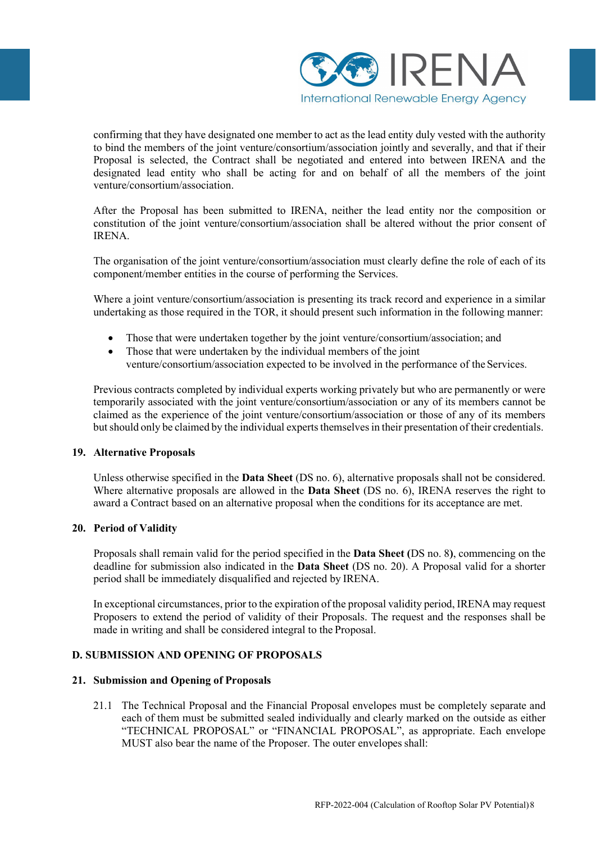

confirming that they have designated one member to act as the lead entity duly vested with the authority to bind the members of the joint venture/consortium/association jointly and severally, and that if their Proposal is selected, the Contract shall be negotiated and entered into between IRENA and the designated lead entity who shall be acting for and on behalf of all the members of the joint venture/consortium/association.

After the Proposal has been submitted to IRENA, neither the lead entity nor the composition or constitution of the joint venture/consortium/association shall be altered without the prior consent of IRENA.

The organisation of the joint venture/consortium/association must clearly define the role of each of its component/member entities in the course of performing the Services.

Where a joint venture/consortium/association is presenting its track record and experience in a similar undertaking as those required in the TOR, it should present such information in the following manner:

- Those that were undertaken together by the joint venture/consortium/association; and
- Those that were undertaken by the individual members of the joint venture/consortium/association expected to be involved in the performance of the Services.

Previous contracts completed by individual experts working privately but who are permanently or were temporarily associated with the joint venture/consortium/association or any of its members cannot be claimed as the experience of the joint venture/consortium/association or those of any of its members but should only be claimed by the individual experts themselves in their presentation of their credentials.

## **19. Alternative Proposals**

Unless otherwise specified in the **Data Sheet** (DS no. 6), alternative proposals shall not be considered. Where alternative proposals are allowed in the **Data Sheet** (DS no. 6), IRENA reserves the right to award a Contract based on an alternative proposal when the conditions for its acceptance are met.

## **20. Period of Validity**

Proposals shall remain valid for the period specified in the **Data Sheet (**DS no. 8**)**, commencing on the deadline for submission also indicated in the **Data Sheet** (DS no. 20). A Proposal valid for a shorter period shall be immediately disqualified and rejected by IRENA.

In exceptional circumstances, prior to the expiration of the proposal validity period, IRENA may request Proposers to extend the period of validity of their Proposals. The request and the responses shall be made in writing and shall be considered integral to the Proposal.

## **D. SUBMISSION AND OPENING OF PROPOSALS**

## **21. Submission and Opening of Proposals**

21.1 The Technical Proposal and the Financial Proposal envelopes must be completely separate and each of them must be submitted sealed individually and clearly marked on the outside as either "TECHNICAL PROPOSAL" or "FINANCIAL PROPOSAL", as appropriate. Each envelope MUST also bear the name of the Proposer. The outer envelopes shall: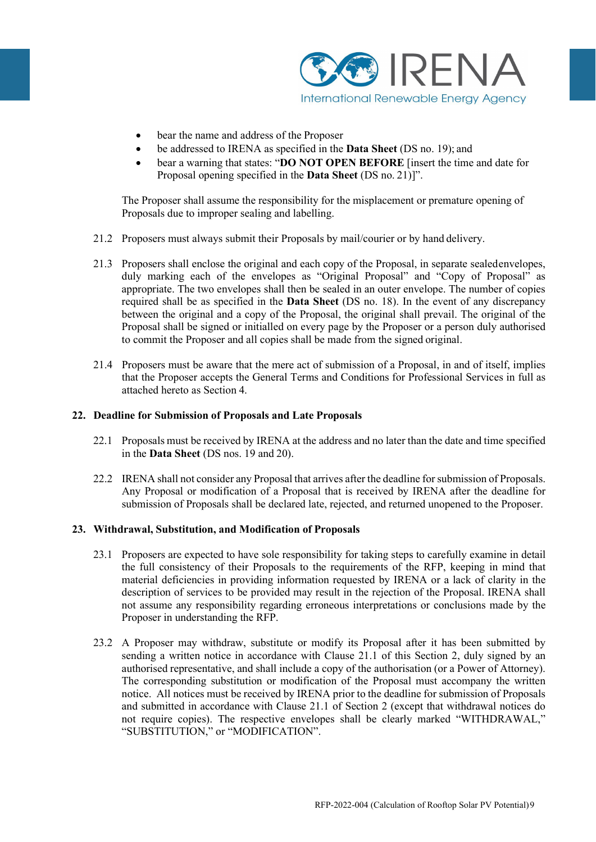

- bear the name and address of the Proposer
- be addressed to IRENA as specified in the **Data Sheet** (DS no. 19); and
- bear a warning that states: "**DO NOT OPEN BEFORE** [insert the time and date for Proposal opening specified in the **Data Sheet** (DS no. 21)]".

The Proposer shall assume the responsibility for the misplacement or premature opening of Proposals due to improper sealing and labelling.

- 21.2 Proposers must always submit their Proposals by mail/courier or by hand delivery.
- 21.3 Proposers shall enclose the original and each copy of the Proposal, in separate sealedenvelopes, duly marking each of the envelopes as "Original Proposal" and "Copy of Proposal" as appropriate. The two envelopes shall then be sealed in an outer envelope. The number of copies required shall be as specified in the **Data Sheet** (DS no. 18). In the event of any discrepancy between the original and a copy of the Proposal, the original shall prevail. The original of the Proposal shall be signed or initialled on every page by the Proposer or a person duly authorised to commit the Proposer and all copies shall be made from the signed original.
- 21.4 Proposers must be aware that the mere act of submission of a Proposal, in and of itself, implies that the Proposer accepts the General Terms and Conditions for Professional Services in full as attached hereto as Section 4.

#### **22. Deadline for Submission of Proposals and Late Proposals**

- 22.1 Proposals must be received by IRENA at the address and no later than the date and time specified in the **Data Sheet** (DS nos. 19 and 20).
- 22.2 IRENA shall not consider any Proposal that arrives after the deadline for submission of Proposals. Any Proposal or modification of a Proposal that is received by IRENA after the deadline for submission of Proposals shall be declared late, rejected, and returned unopened to the Proposer.

#### **23. Withdrawal, Substitution, and Modification of Proposals**

- 23.1 Proposers are expected to have sole responsibility for taking steps to carefully examine in detail the full consistency of their Proposals to the requirements of the RFP, keeping in mind that material deficiencies in providing information requested by IRENA or a lack of clarity in the description of services to be provided may result in the rejection of the Proposal. IRENA shall not assume any responsibility regarding erroneous interpretations or conclusions made by the Proposer in understanding the RFP.
- 23.2 A Proposer may withdraw, substitute or modify its Proposal after it has been submitted by sending a written notice in accordance with Clause 21.1 of this Section 2, duly signed by an authorised representative, and shall include a copy of the authorisation (or a Power of Attorney). The corresponding substitution or modification of the Proposal must accompany the written notice. All notices must be received by IRENA prior to the deadline for submission of Proposals and submitted in accordance with Clause 21.1 of Section 2 (except that withdrawal notices do not require copies). The respective envelopes shall be clearly marked "WITHDRAWAL," "SUBSTITUTION," or "MODIFICATION".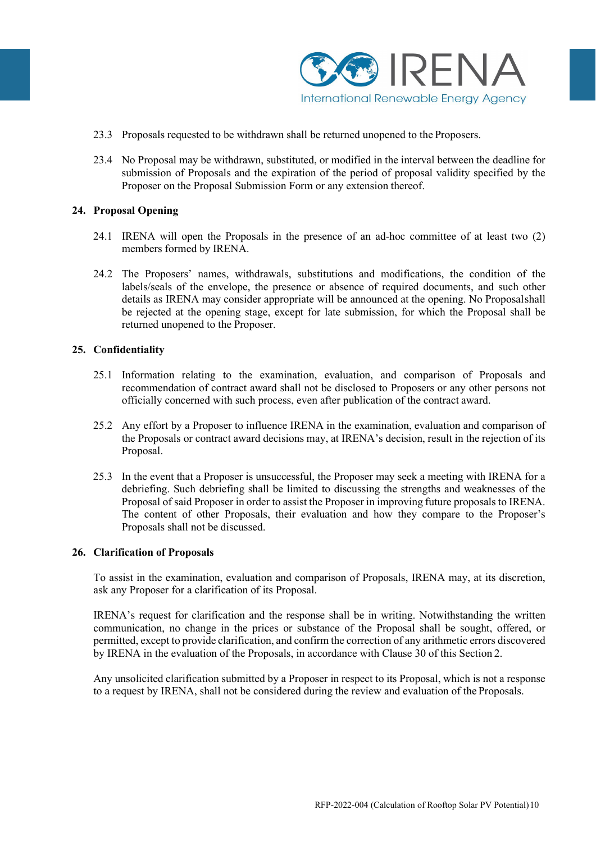

- 23.3 Proposals requested to be withdrawn shall be returned unopened to the Proposers.
- 23.4 No Proposal may be withdrawn, substituted, or modified in the interval between the deadline for submission of Proposals and the expiration of the period of proposal validity specified by the Proposer on the Proposal Submission Form or any extension thereof.

#### **24. Proposal Opening**

- 24.1 IRENA will open the Proposals in the presence of an ad-hoc committee of at least two (2) members formed by IRENA.
- 24.2 The Proposers' names, withdrawals, substitutions and modifications, the condition of the labels/seals of the envelope, the presence or absence of required documents, and such other details as IRENA may consider appropriate will be announced at the opening. No Proposalshall be rejected at the opening stage, except for late submission, for which the Proposal shall be returned unopened to the Proposer.

#### **25. Confidentiality**

- 25.1 Information relating to the examination, evaluation, and comparison of Proposals and recommendation of contract award shall not be disclosed to Proposers or any other persons not officially concerned with such process, even after publication of the contract award.
- 25.2 Any effort by a Proposer to influence IRENA in the examination, evaluation and comparison of the Proposals or contract award decisions may, at IRENA's decision, result in the rejection of its Proposal.
- 25.3 In the event that a Proposer is unsuccessful, the Proposer may seek a meeting with IRENA for a debriefing. Such debriefing shall be limited to discussing the strengths and weaknesses of the Proposal of said Proposer in order to assist the Proposer in improving future proposals to IRENA. The content of other Proposals, their evaluation and how they compare to the Proposer's Proposals shall not be discussed.

#### **26. Clarification of Proposals**

To assist in the examination, evaluation and comparison of Proposals, IRENA may, at its discretion, ask any Proposer for a clarification of its Proposal.

IRENA's request for clarification and the response shall be in writing. Notwithstanding the written communication, no change in the prices or substance of the Proposal shall be sought, offered, or permitted, except to provide clarification, and confirm the correction of any arithmetic errors discovered by IRENA in the evaluation of the Proposals, in accordance with Clause 30 of this Section 2.

Any unsolicited clarification submitted by a Proposer in respect to its Proposal, which is not a response to a request by IRENA, shall not be considered during the review and evaluation of the Proposals.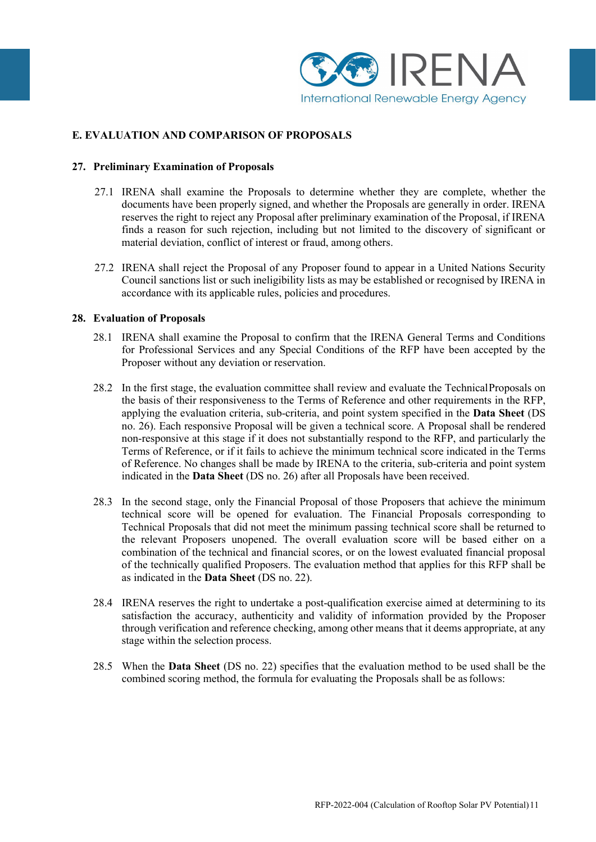

# **E. EVALUATION AND COMPARISON OF PROPOSALS**

#### **27. Preliminary Examination of Proposals**

- 27.1 IRENA shall examine the Proposals to determine whether they are complete, whether the documents have been properly signed, and whether the Proposals are generally in order. IRENA reserves the right to reject any Proposal after preliminary examination of the Proposal, if IRENA finds a reason for such rejection, including but not limited to the discovery of significant or material deviation, conflict of interest or fraud, among others.
- 27.2 IRENA shall reject the Proposal of any Proposer found to appear in a United Nations Security Council sanctions list or such ineligibility lists as may be established or recognised by IRENA in accordance with its applicable rules, policies and procedures.

#### **28. Evaluation of Proposals**

- 28.1 IRENA shall examine the Proposal to confirm that the IRENA General Terms and Conditions for Professional Services and any Special Conditions of the RFP have been accepted by the Proposer without any deviation or reservation.
- 28.2 In the first stage, the evaluation committee shall review and evaluate the TechnicalProposals on the basis of their responsiveness to the Terms of Reference and other requirements in the RFP, applying the evaluation criteria, sub-criteria, and point system specified in the **Data Sheet** (DS no. 26). Each responsive Proposal will be given a technical score. A Proposal shall be rendered non-responsive at this stage if it does not substantially respond to the RFP, and particularly the Terms of Reference, or if it fails to achieve the minimum technical score indicated in the Terms of Reference. No changes shall be made by IRENA to the criteria, sub-criteria and point system indicated in the **Data Sheet** (DS no. 26) after all Proposals have been received.
- 28.3 In the second stage, only the Financial Proposal of those Proposers that achieve the minimum technical score will be opened for evaluation. The Financial Proposals corresponding to Technical Proposals that did not meet the minimum passing technical score shall be returned to the relevant Proposers unopened. The overall evaluation score will be based either on a combination of the technical and financial scores, or on the lowest evaluated financial proposal of the technically qualified Proposers. The evaluation method that applies for this RFP shall be as indicated in the **Data Sheet** (DS no. 22).
- 28.4 IRENA reserves the right to undertake a post-qualification exercise aimed at determining to its satisfaction the accuracy, authenticity and validity of information provided by the Proposer through verification and reference checking, among other means that it deems appropriate, at any stage within the selection process.
- 28.5 When the **Data Sheet** (DS no. 22) specifies that the evaluation method to be used shall be the combined scoring method, the formula for evaluating the Proposals shall be as follows: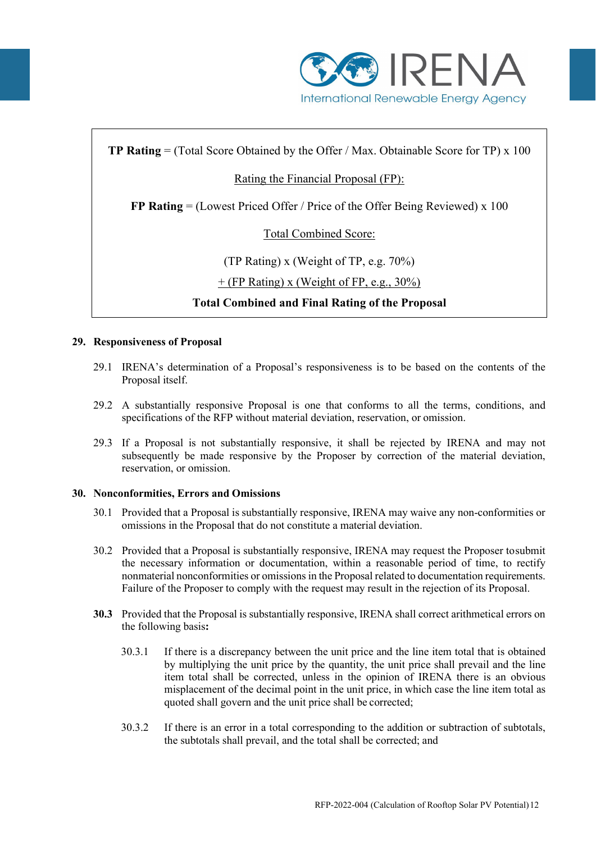

# **TP Rating** = (Total Score Obtained by the Offer / Max. Obtainable Score for TP) x 100

# Rating the Financial Proposal (FP):

**FP Rating** = (Lowest Priced Offer / Price of the Offer Being Reviewed) x 100

# Total Combined Score:

(TP Rating) x (Weight of TP, e.g. 70%)

 $+$  (FP Rating) x (Weight of FP, e.g., 30%)

# **Total Combined and Final Rating of the Proposal**

#### **29. Responsiveness of Proposal**

- 29.1 IRENA's determination of a Proposal's responsiveness is to be based on the contents of the Proposal itself.
- 29.2 A substantially responsive Proposal is one that conforms to all the terms, conditions, and specifications of the RFP without material deviation, reservation, or omission.
- 29.3 If a Proposal is not substantially responsive, it shall be rejected by IRENA and may not subsequently be made responsive by the Proposer by correction of the material deviation, reservation, or omission.

## **30. Nonconformities, Errors and Omissions**

- 30.1 Provided that a Proposal is substantially responsive, IRENA may waive any non-conformities or omissions in the Proposal that do not constitute a material deviation.
- 30.2 Provided that a Proposal is substantially responsive, IRENA may request the Proposer tosubmit the necessary information or documentation, within a reasonable period of time, to rectify nonmaterial nonconformities or omissions in the Proposal related to documentation requirements. Failure of the Proposer to comply with the request may result in the rejection of its Proposal.
- **30.3** Provided that the Proposal is substantially responsive, IRENA shall correct arithmetical errors on the following basis**:** 
	- 30.3.1 If there is a discrepancy between the unit price and the line item total that is obtained by multiplying the unit price by the quantity, the unit price shall prevail and the line item total shall be corrected, unless in the opinion of IRENA there is an obvious misplacement of the decimal point in the unit price, in which case the line item total as quoted shall govern and the unit price shall be corrected;
	- 30.3.2 If there is an error in a total corresponding to the addition or subtraction of subtotals, the subtotals shall prevail, and the total shall be corrected; and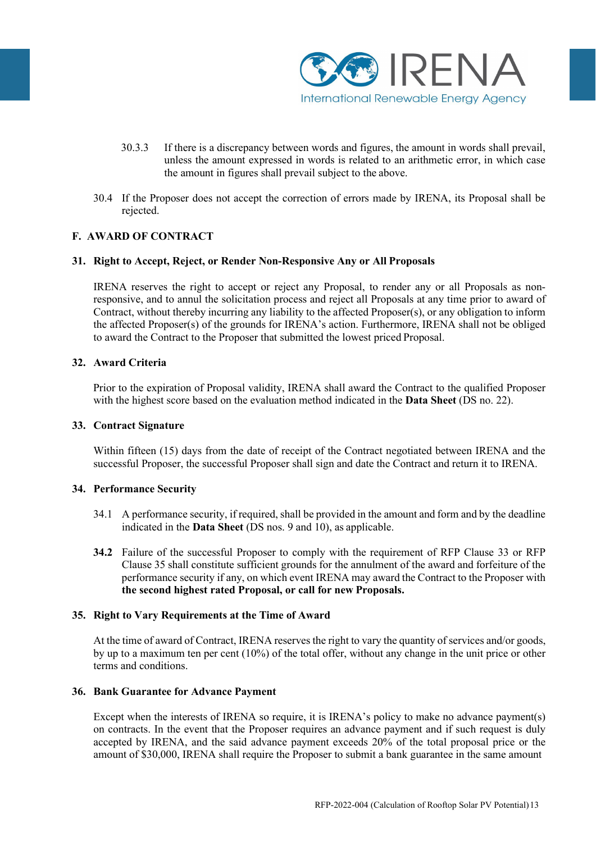

- 30.3.3 If there is a discrepancy between words and figures, the amount in words shall prevail, unless the amount expressed in words is related to an arithmetic error, in which case the amount in figures shall prevail subject to the above.
- 30.4 If the Proposer does not accept the correction of errors made by IRENA, its Proposal shall be rejected.

## **F. AWARD OF CONTRACT**

#### **31. Right to Accept, Reject, or Render Non-Responsive Any or All Proposals**

IRENA reserves the right to accept or reject any Proposal, to render any or all Proposals as nonresponsive, and to annul the solicitation process and reject all Proposals at any time prior to award of Contract, without thereby incurring any liability to the affected Proposer(s), or any obligation to inform the affected Proposer(s) of the grounds for IRENA's action. Furthermore, IRENA shall not be obliged to award the Contract to the Proposer that submitted the lowest priced Proposal.

#### **32. Award Criteria**

Prior to the expiration of Proposal validity, IRENA shall award the Contract to the qualified Proposer with the highest score based on the evaluation method indicated in the **Data Sheet** (DS no. 22).

#### **33. Contract Signature**

Within fifteen (15) days from the date of receipt of the Contract negotiated between IRENA and the successful Proposer, the successful Proposer shall sign and date the Contract and return it to IRENA.

## **34. Performance Security**

- 34.1 A performance security, if required, shall be provided in the amount and form and by the deadline indicated in the **Data Sheet** (DS nos. 9 and 10), as applicable.
- **34.2** Failure of the successful Proposer to comply with the requirement of RFP Clause 33 or RFP Clause 35 shall constitute sufficient grounds for the annulment of the award and forfeiture of the performance security if any, on which event IRENA may award the Contract to the Proposer with **the second highest rated Proposal, or call for new Proposals.**

## **35. Right to Vary Requirements at the Time of Award**

At the time of award of Contract, IRENA reserves the right to vary the quantity of services and/or goods, by up to a maximum ten per cent (10%) of the total offer, without any change in the unit price or other terms and conditions.

#### **36. Bank Guarantee for Advance Payment**

Except when the interests of IRENA so require, it is IRENA's policy to make no advance payment(s) on contracts. In the event that the Proposer requires an advance payment and if such request is duly accepted by IRENA, and the said advance payment exceeds 20% of the total proposal price or the amount of \$30,000, IRENA shall require the Proposer to submit a bank guarantee in the same amount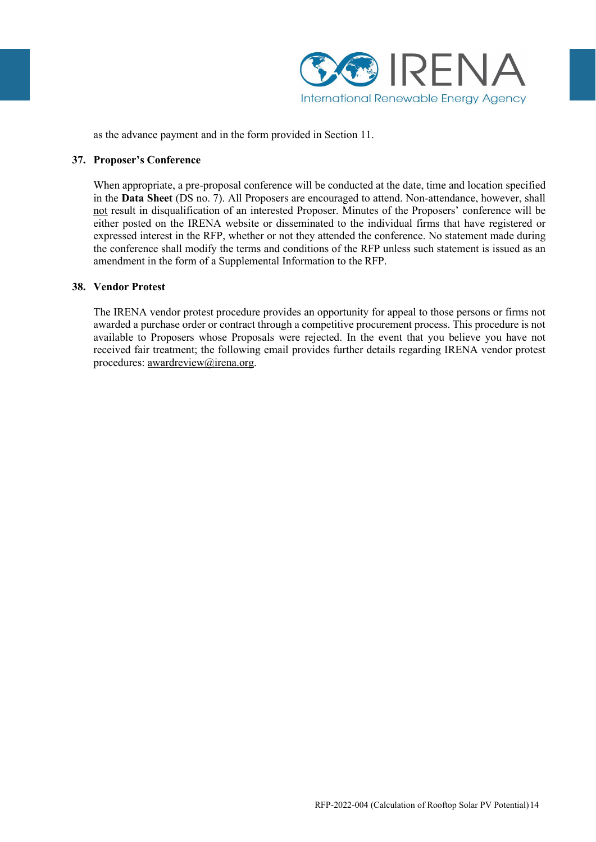

as the advance payment and in the form provided in Section 11.

#### **37. Proposer's Conference**

When appropriate, a pre-proposal conference will be conducted at the date, time and location specified in the **Data Sheet** (DS no. 7). All Proposers are encouraged to attend. Non-attendance, however, shall not result in disqualification of an interested Proposer. Minutes of the Proposers' conference will be either posted on the IRENA website or disseminated to the individual firms that have registered or expressed interest in the RFP, whether or not they attended the conference. No statement made during the conference shall modify the terms and conditions of the RFP unless such statement is issued as an amendment in the form of a Supplemental Information to the RFP.

#### **38. Vendor Protest**

The IRENA vendor protest procedure provides an opportunity for appeal to those persons or firms not awarded a purchase order or contract through a competitive procurement process. This procedure is not available to Proposers whose Proposals were rejected. In the event that you believe you have not received fair treatment; the following email provides further details regarding IRENA vendor protest procedures: [awardreview@irena.org.](mailto:awardreview@irena.org)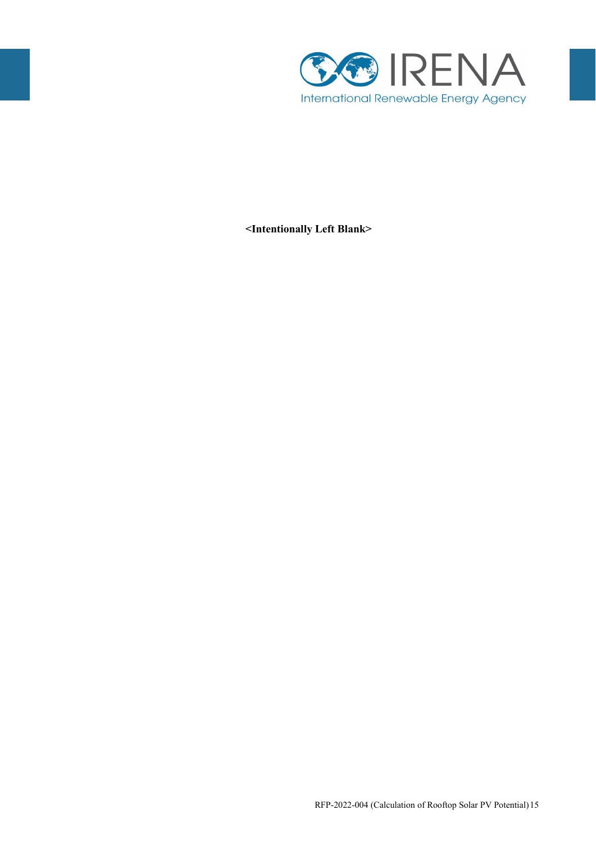

**<Intentionally Left Blank>**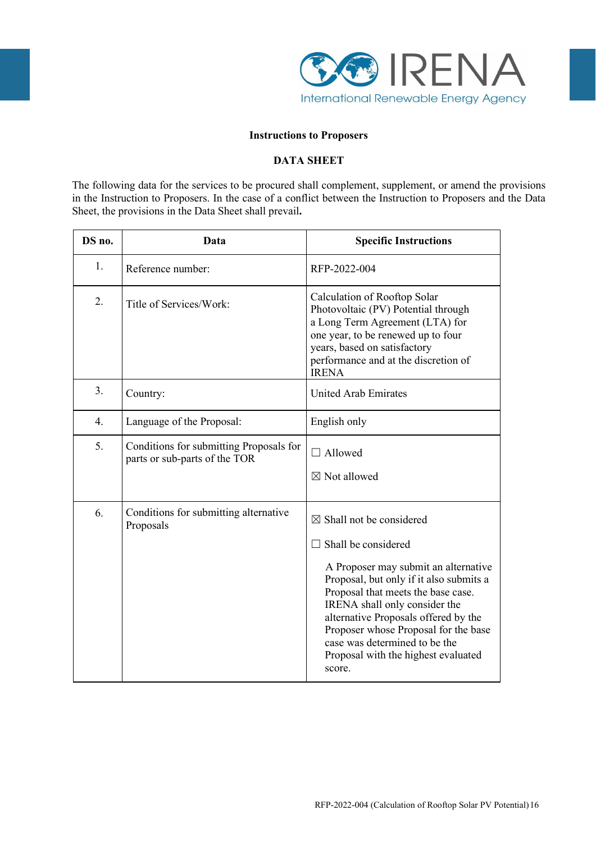

#### **Instructions to Proposers**

# **DATA SHEET**

The following data for the services to be procured shall complement, supplement, or amend the provisions in the Instruction to Proposers. In the case of a conflict between the Instruction to Proposers and the Data Sheet, the provisions in the Data Sheet shall prevail**.**

| DS no. | Data                                                                                                                                                                                                                                                            | <b>Specific Instructions</b>                                                                                                                                                                                                                                                                                                                                                                  |  |
|--------|-----------------------------------------------------------------------------------------------------------------------------------------------------------------------------------------------------------------------------------------------------------------|-----------------------------------------------------------------------------------------------------------------------------------------------------------------------------------------------------------------------------------------------------------------------------------------------------------------------------------------------------------------------------------------------|--|
| 1.     | Reference number:                                                                                                                                                                                                                                               | RFP-2022-004                                                                                                                                                                                                                                                                                                                                                                                  |  |
| 2.     | Calculation of Rooftop Solar<br>Title of Services/Work:<br>Photovoltaic (PV) Potential through<br>a Long Term Agreement (LTA) for<br>one year, to be renewed up to four<br>years, based on satisfactory<br>performance and at the discretion of<br><b>IRENA</b> |                                                                                                                                                                                                                                                                                                                                                                                               |  |
| 3.     | Country:                                                                                                                                                                                                                                                        | <b>United Arab Emirates</b>                                                                                                                                                                                                                                                                                                                                                                   |  |
| 4.     | Language of the Proposal:                                                                                                                                                                                                                                       | English only                                                                                                                                                                                                                                                                                                                                                                                  |  |
| 5.     | Conditions for submitting Proposals for<br>parts or sub-parts of the TOR                                                                                                                                                                                        | $\Box$ Allowed<br>$\boxtimes$ Not allowed                                                                                                                                                                                                                                                                                                                                                     |  |
| 6.     | Conditions for submitting alternative<br>Proposals                                                                                                                                                                                                              | $\boxtimes$ Shall not be considered<br>$\Box$ Shall be considered<br>A Proposer may submit an alternative<br>Proposal, but only if it also submits a<br>Proposal that meets the base case.<br>IRENA shall only consider the<br>alternative Proposals offered by the<br>Proposer whose Proposal for the base<br>case was determined to be the<br>Proposal with the highest evaluated<br>score. |  |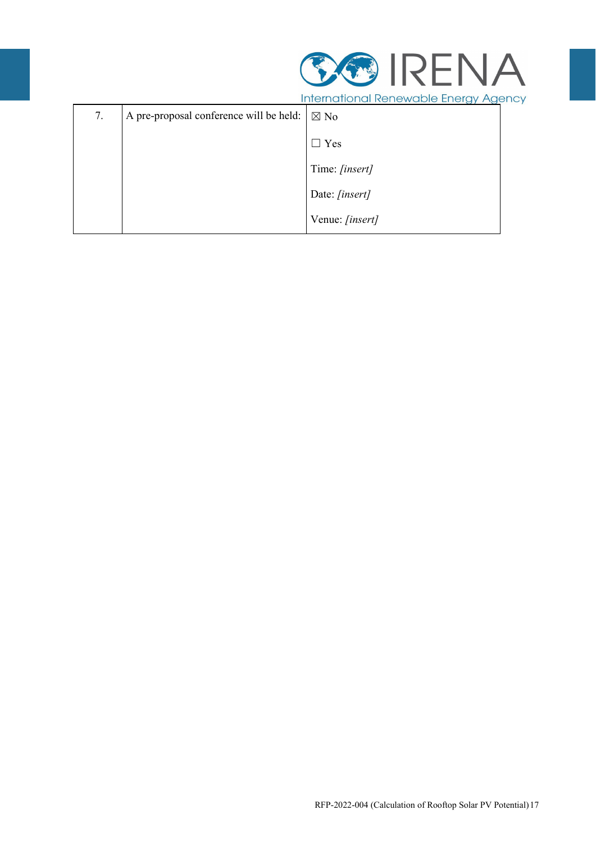

|    |                                         | <b>INTERNATIONAL INCLIC WORLD'S ENDING Y AGO TO Y</b> |  |
|----|-----------------------------------------|-------------------------------------------------------|--|
| 7. | A pre-proposal conference will be held: | $\boxtimes$ No                                        |  |
|    |                                         | Yes<br>$\mathbf{I}$                                   |  |
|    |                                         | Time: [insert]                                        |  |
|    |                                         | Date: [insert]                                        |  |
|    |                                         | Venue: [insert]                                       |  |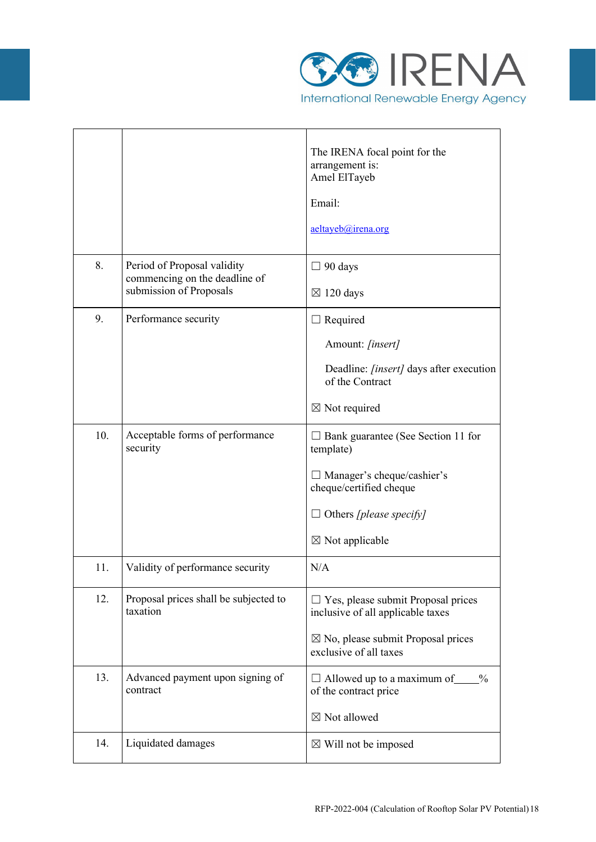

 $\overline{\phantom{a}}$ 

|     |                                                              | The IRENA focal point for the<br>arrangement is:<br>Amel ElTayeb               |  |
|-----|--------------------------------------------------------------|--------------------------------------------------------------------------------|--|
|     |                                                              | Email:                                                                         |  |
|     |                                                              | aeltayeb@irena.org                                                             |  |
| 8.  | Period of Proposal validity<br>commencing on the deadline of | $\Box$ 90 days                                                                 |  |
|     | submission of Proposals                                      | $\boxtimes$ 120 days                                                           |  |
| 9.  | Performance security                                         | $\Box$ Required                                                                |  |
|     |                                                              | Amount: [insert]                                                               |  |
|     |                                                              | Deadline: <i>[insert]</i> days after execution<br>of the Contract              |  |
|     |                                                              | $\boxtimes$ Not required                                                       |  |
| 10. | Acceptable forms of performance<br>security                  | □ Bank guarantee (See Section 11 for<br>template)                              |  |
|     |                                                              | $\Box$ Manager's cheque/cashier's<br>cheque/certified cheque                   |  |
|     |                                                              | $\Box$ Others [please specify]                                                 |  |
|     |                                                              | $\boxtimes$ Not applicable                                                     |  |
| 11. | Validity of performance security                             | N/A                                                                            |  |
| 12. | Proposal prices shall be subjected to<br>taxation            | $\Box$ Yes, please submit Proposal prices<br>inclusive of all applicable taxes |  |
|     |                                                              | $\boxtimes$ No, please submit Proposal prices<br>exclusive of all taxes        |  |
| 13. | Advanced payment upon signing of<br>contract                 | $\Box$ Allowed up to a maximum of<br>$\frac{0}{0}$<br>of the contract price    |  |
|     |                                                              | $\boxtimes$ Not allowed                                                        |  |
| 14. | Liquidated damages                                           | $\boxtimes$ Will not be imposed                                                |  |

 $\overline{\mathbf{r}}$ 

**r**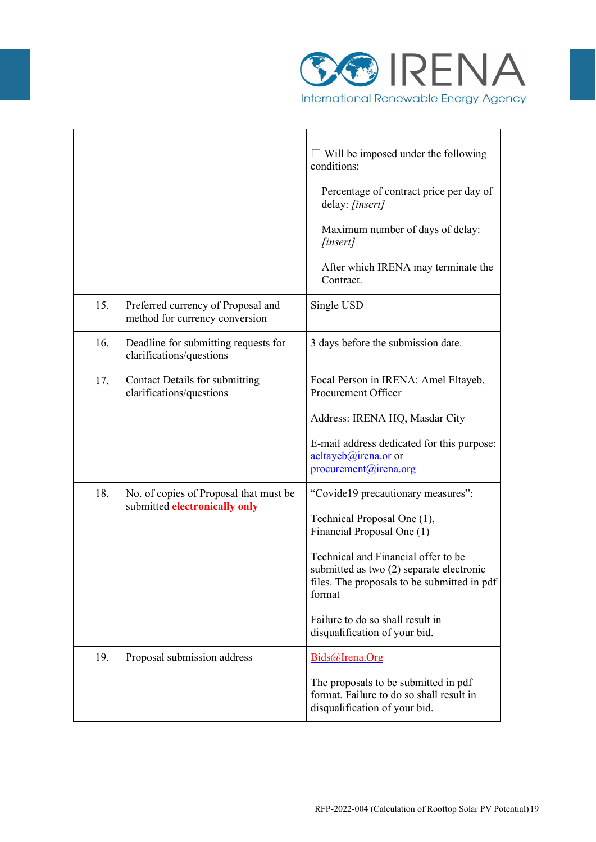

 $\overline{\phantom{a}}$ 

|     |                                                                         | $\Box$ Will be imposed under the following<br>conditions:<br>Percentage of contract price per day of<br>delay: [insert]<br>Maximum number of days of delay:<br>[insert]<br>After which IRENA may terminate the<br>Contract.                                                                                      |
|-----|-------------------------------------------------------------------------|------------------------------------------------------------------------------------------------------------------------------------------------------------------------------------------------------------------------------------------------------------------------------------------------------------------|
| 15. | Preferred currency of Proposal and<br>method for currency conversion    | Single USD                                                                                                                                                                                                                                                                                                       |
| 16. | Deadline for submitting requests for<br>clarifications/questions        | 3 days before the submission date.                                                                                                                                                                                                                                                                               |
| 17. | Contact Details for submitting<br>clarifications/questions              | Focal Person in IRENA: Amel Eltayeb,<br>Procurement Officer<br>Address: IRENA HQ, Masdar City<br>E-mail address dedicated for this purpose:<br>$aeltayeb@irena.$ or or<br>procurement@irena.org                                                                                                                  |
| 18. | No. of copies of Proposal that must be<br>submitted electronically only | "Covide19 precautionary measures":<br>Technical Proposal One (1),<br>Financial Proposal One (1)<br>Technical and Financial offer to be<br>submitted as two (2) separate electronic<br>files. The proposals to be submitted in pdf<br>format<br>Failure to do so shall result in<br>disqualification of your bid. |
| 19. | Proposal submission address                                             | Bids@Irena.Org<br>The proposals to be submitted in pdf<br>format. Failure to do so shall result in<br>disqualification of your bid.                                                                                                                                                                              |

 $\overline{\mathbf{r}}$ 

 $\mathsf{r}$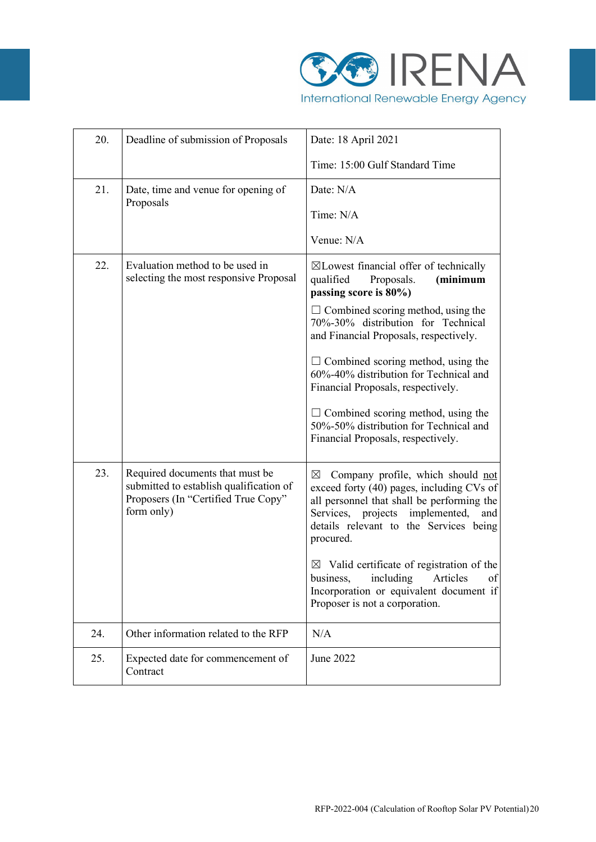

| 20. | Deadline of submission of Proposals                                                                                             | Date: 18 April 2021                                                                                                                                                                                                                          |  |
|-----|---------------------------------------------------------------------------------------------------------------------------------|----------------------------------------------------------------------------------------------------------------------------------------------------------------------------------------------------------------------------------------------|--|
|     |                                                                                                                                 | Time: 15:00 Gulf Standard Time                                                                                                                                                                                                               |  |
| 21. | Date, time and venue for opening of                                                                                             | Date: N/A                                                                                                                                                                                                                                    |  |
|     | Proposals                                                                                                                       | Time: N/A                                                                                                                                                                                                                                    |  |
|     |                                                                                                                                 | Venue: N/A                                                                                                                                                                                                                                   |  |
| 22. | Evaluation method to be used in<br>selecting the most responsive Proposal                                                       | $\boxtimes$ Lowest financial offer of technically<br>qualified<br>Proposals.<br>(minimum<br>passing score is 80%)                                                                                                                            |  |
|     |                                                                                                                                 | $\Box$ Combined scoring method, using the<br>70%-30% distribution for Technical<br>and Financial Proposals, respectively.                                                                                                                    |  |
|     |                                                                                                                                 | $\Box$ Combined scoring method, using the<br>60%-40% distribution for Technical and<br>Financial Proposals, respectively.                                                                                                                    |  |
|     |                                                                                                                                 | $\Box$ Combined scoring method, using the<br>50%-50% distribution for Technical and<br>Financial Proposals, respectively.                                                                                                                    |  |
| 23. | Required documents that must be<br>submitted to establish qualification of<br>Proposers (In "Certified True Copy"<br>form only) | Company profile, which should not<br>$\boxtimes$<br>exceed forty (40) pages, including CVs of<br>all personnel that shall be performing the<br>Services, projects implemented,<br>and<br>details relevant to the Services being<br>procured. |  |
|     |                                                                                                                                 | $\boxtimes$ Valid certificate of registration of the<br>business, including Articles<br>of<br>Incorporation or equivalent document if<br>Proposer is not a corporation.                                                                      |  |
| 24. | Other information related to the RFP                                                                                            | N/A                                                                                                                                                                                                                                          |  |
| 25. | Expected date for commencement of<br>Contract                                                                                   | June 2022                                                                                                                                                                                                                                    |  |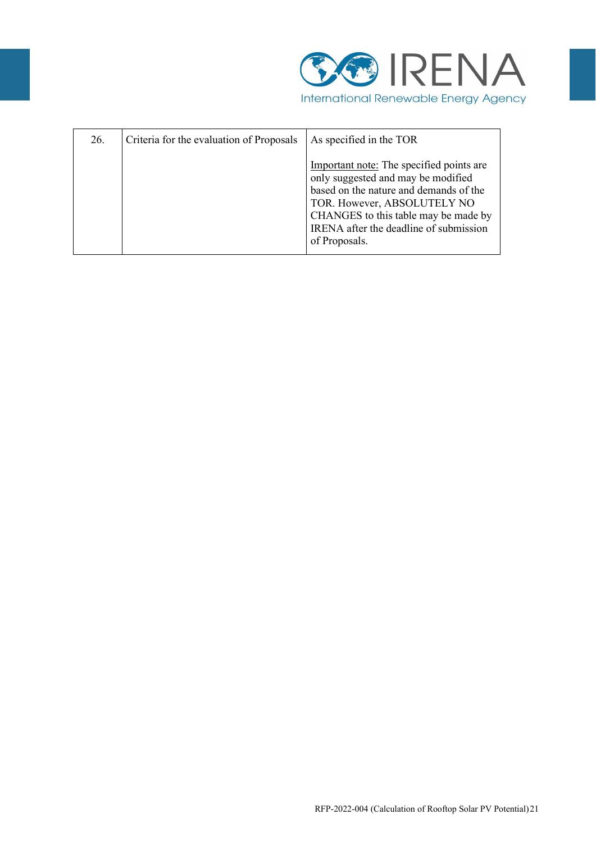

| 26. | Criteria for the evaluation of Proposals | As specified in the TOR                                                                                                                                                                                                                                    |
|-----|------------------------------------------|------------------------------------------------------------------------------------------------------------------------------------------------------------------------------------------------------------------------------------------------------------|
|     |                                          | Important note: The specified points are<br>only suggested and may be modified<br>based on the nature and demands of the<br>TOR. However, ABSOLUTELY NO<br>CHANGES to this table may be made by<br>IRENA after the deadline of submission<br>of Proposals. |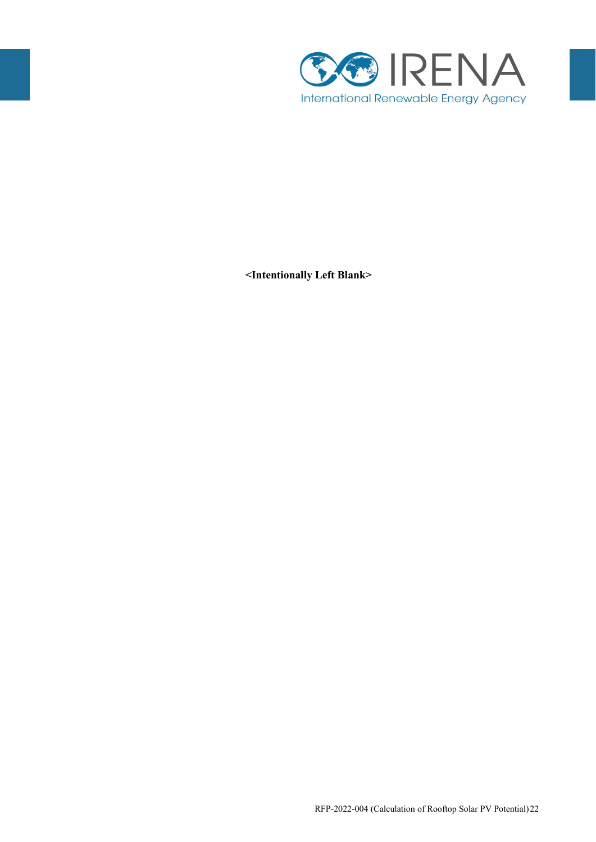

**<Intentionally Left Blank>**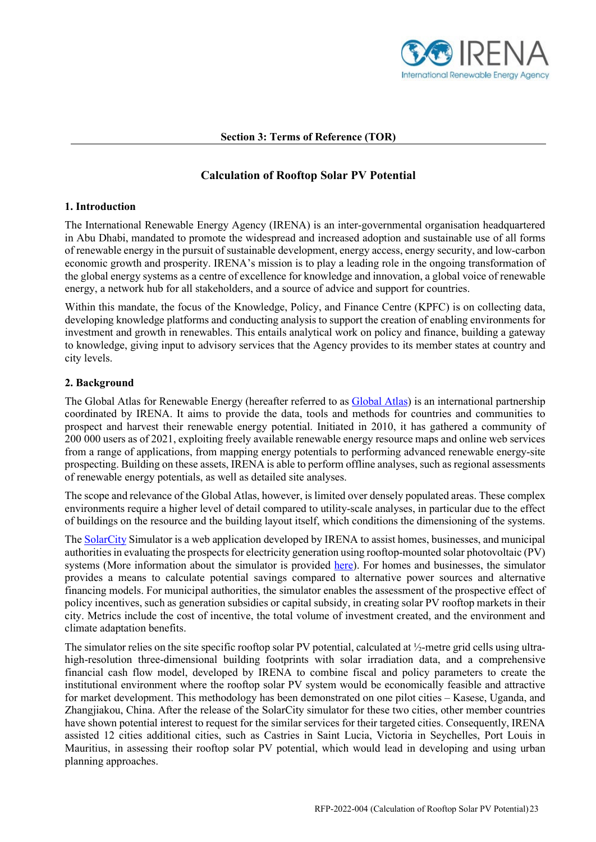

## **Section 3: Terms of Reference (TOR)**

# **Calculation of Rooftop Solar PV Potential**

## **1. Introduction**

The International Renewable Energy Agency (IRENA) is an inter-governmental organisation headquartered in Abu Dhabi, mandated to promote the widespread and increased adoption and sustainable use of all forms of renewable energy in the pursuit of sustainable development, energy access, energy security, and low-carbon economic growth and prosperity. IRENA's mission is to play a leading role in the ongoing transformation of the global energy systems as a centre of excellence for knowledge and innovation, a global voice of renewable energy, a network hub for all stakeholders, and a source of advice and support for countries.

Within this mandate, the focus of the Knowledge, Policy, and Finance Centre (KPFC) is on collecting data, developing knowledge platforms and conducting analysis to support the creation of enabling environments for investment and growth in renewables. This entails analytical work on policy and finance, building a gateway to knowledge, giving input to advisory services that the Agency provides to its member states at country and city levels.

## **2. Background**

The Global Atlas for Renewable Energy (hereafter referred to as [Global Atlas\)](https://globalatlas.irena.org/) is an international partnership coordinated by IRENA. It aims to provide the data, tools and methods for countries and communities to prospect and harvest their renewable energy potential. Initiated in 2010, it has gathered a community of 200 000 users as of 2021, exploiting freely available renewable energy resource maps and online web services from a range of applications, from mapping energy potentials to performing advanced renewable energy-site prospecting. Building on these assets, IRENA is able to perform offline analyses, such as regional assessments of renewable energy potentials, as well as detailed site analyses.

The scope and relevance of the Global Atlas, however, is limited over densely populated areas. These complex environments require a higher level of detail compared to utility-scale analyses, in particular due to the effect of buildings on the resource and the building layout itself, which conditions the dimensioning of the systems.

The **SolarCity** Simulator is a web application developed by IRENA to assist homes, businesses, and municipal authorities in evaluating the prospects for electricity generation using rooftop-mounted solar photovoltaic (PV) systems (More information about the simulator is provided [here\)](https://irena.org/solarcity). For homes and businesses, the simulator provides a means to calculate potential savings compared to alternative power sources and alternative financing models. For municipal authorities, the simulator enables the assessment of the prospective effect of policy incentives, such as generation subsidies or capital subsidy, in creating solar PV rooftop markets in their city. Metrics include the cost of incentive, the total volume of investment created, and the environment and climate adaptation benefits.

The simulator relies on the site specific rooftop solar PV potential, calculated at ½-metre grid cells using ultrahigh-resolution three-dimensional building footprints with solar irradiation data, and a comprehensive financial cash flow model, developed by IRENA to combine fiscal and policy parameters to create the institutional environment where the rooftop solar PV system would be economically feasible and attractive for market development. This methodology has been demonstrated on one pilot cities – Kasese, Uganda, and Zhangjiakou, China. After the release of the SolarCity simulator for these two cities, other member countries have shown potential interest to request for the similar services for their targeted cities. Consequently, IRENA assisted 12 cities additional cities, such as Castries in Saint Lucia, Victoria in Seychelles, Port Louis in Mauritius, in assessing their rooftop solar PV potential, which would lead in developing and using urban planning approaches.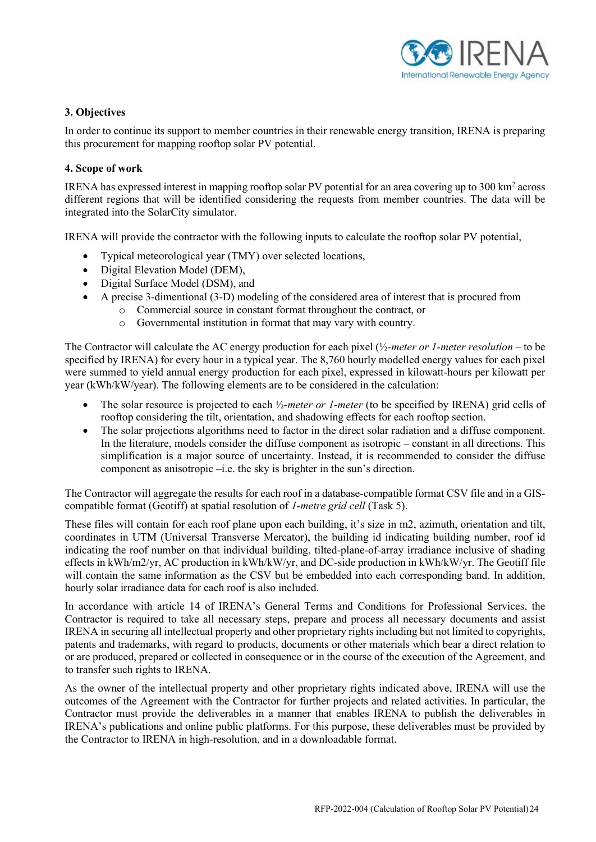

# **3. Objectives**

In order to continue its support to member countries in their renewable energy transition, IRENA is preparing this procurement for mapping rooftop solar PV potential.

## **4. Scope of work**

IRENA has expressed interest in mapping rooftop solar PV potential for an area covering up to 300 km2 across different regions that will be identified considering the requests from member countries. The data will be integrated into the SolarCity simulator.

IRENA will provide the contractor with the following inputs to calculate the rooftop solar PV potential,

- Typical meteorological year (TMY) over selected locations,
- Digital Elevation Model (DEM),
- Digital Surface Model (DSM), and
- A precise 3-dimentional (3-D) modeling of the considered area of interest that is procured from
	- o Commercial source in constant format throughout the contract, or
		- o Governmental institution in format that may vary with country.

The Contractor will calculate the AC energy production for each pixel (½*-meter or 1-meter resolution –* to be specified by IRENA) for every hour in a typical year. The 8,760 hourly modelled energy values for each pixel were summed to yield annual energy production for each pixel, expressed in kilowatt-hours per kilowatt per year (kWh/kW/year). The following elements are to be considered in the calculation:

- The solar resource is projected to each  $\frac{1}{2}$ -meter or 1-meter (to be specified by IRENA) grid cells of rooftop considering the tilt, orientation, and shadowing effects for each rooftop section.
- The solar projections algorithms need to factor in the direct solar radiation and a diffuse component. In the literature, models consider the diffuse component as isotropic – constant in all directions. This simplification is a major source of uncertainty. Instead, it is recommended to consider the diffuse component as anisotropic –i.e. the sky is brighter in the sun's direction.

The Contractor will aggregate the results for each roof in a database-compatible format CSV file and in a GIScompatible format (Geotiff) at spatial resolution of *1-metre grid cell* (Task 5).

These files will contain for each roof plane upon each building, it's size in m2, azimuth, orientation and tilt, coordinates in UTM (Universal Transverse Mercator), the building id indicating building number, roof id indicating the roof number on that individual building, tilted-plane-of-array irradiance inclusive of shading effects in kWh/m2/yr, AC production in kWh/kW/yr, and DC-side production in kWh/kW/yr. The Geotiff file will contain the same information as the CSV but be embedded into each corresponding band. In addition, hourly solar irradiance data for each roof is also included.

In accordance with article 14 of IRENA's General Terms and Conditions for Professional Services, the Contractor is required to take all necessary steps, prepare and process all necessary documents and assist IRENA in securing all intellectual property and other proprietary rights including but not limited to copyrights, patents and trademarks, with regard to products, documents or other materials which bear a direct relation to or are produced, prepared or collected in consequence or in the course of the execution of the Agreement, and to transfer such rights to IRENA.

As the owner of the intellectual property and other proprietary rights indicated above, IRENA will use the outcomes of the Agreement with the Contractor for further projects and related activities. In particular, the Contractor must provide the deliverables in a manner that enables IRENA to publish the deliverables in IRENA's publications and online public platforms. For this purpose, these deliverables must be provided by the Contractor to IRENA in high-resolution, and in a downloadable format.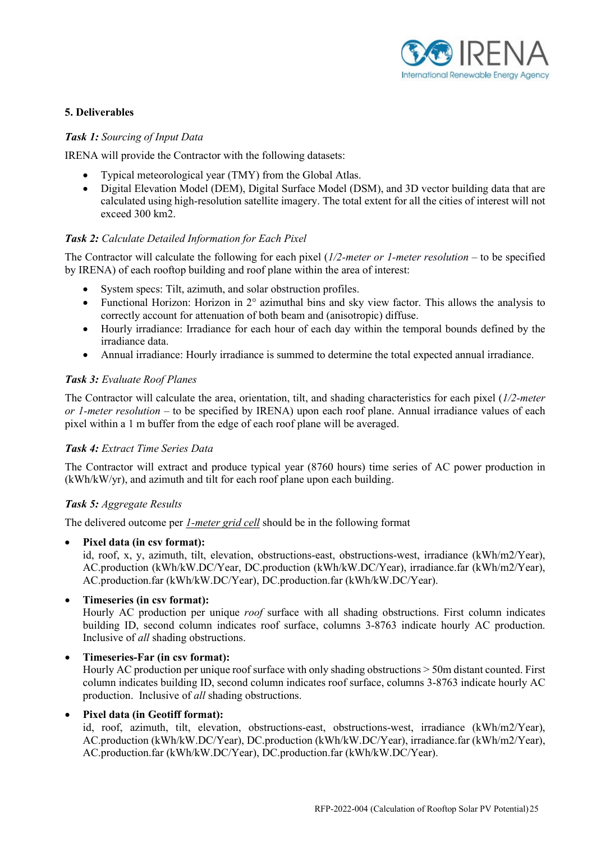

# **5. Deliverables**

## *Task 1: Sourcing of Input Data*

IRENA will provide the Contractor with the following datasets:

- Typical meteorological year (TMY) from the Global Atlas.
- Digital Elevation Model (DEM), Digital Surface Model (DSM), and 3D vector building data that are calculated using high-resolution satellite imagery. The total extent for all the cities of interest will not exceed 300 km2.

## *Task 2: Calculate Detailed Information for Each Pixel*

The Contractor will calculate the following for each pixel (*1/2-meter or 1-meter resolution –* to be specified by IRENA) of each rooftop building and roof plane within the area of interest:

- System specs: Tilt, azimuth, and solar obstruction profiles.
- Functional Horizon: Horizon in 2° azimuthal bins and sky view factor. This allows the analysis to correctly account for attenuation of both beam and (anisotropic) diffuse.
- Hourly irradiance: Irradiance for each hour of each day within the temporal bounds defined by the irradiance data.
- Annual irradiance: Hourly irradiance is summed to determine the total expected annual irradiance.

## *Task 3: Evaluate Roof Planes*

The Contractor will calculate the area, orientation, tilt, and shading characteristics for each pixel (*1/2-meter or 1-meter resolution –* to be specified by IRENA) upon each roof plane. Annual irradiance values of each pixel within a 1 m buffer from the edge of each roof plane will be averaged.

## *Task 4: Extract Time Series Data*

The Contractor will extract and produce typical year (8760 hours) time series of AC power production in (kWh/kW/yr), and azimuth and tilt for each roof plane upon each building.

## *Task 5: Aggregate Results*

The delivered outcome per *1-meter grid cell* should be in the following format

• **Pixel data (in csv format):** 

id, roof, x, y, azimuth, tilt, elevation, obstructions-east, obstructions-west, irradiance (kWh/m2/Year), AC.production (kWh/kW.DC/Year, DC.production (kWh/kW.DC/Year), irradiance.far (kWh/m2/Year), AC.production.far (kWh/kW.DC/Year), DC.production.far (kWh/kW.DC/Year).

• **Timeseries (in csv format):** 

Hourly AC production per unique *roof* surface with all shading obstructions. First column indicates building ID, second column indicates roof surface, columns 3-8763 indicate hourly AC production. Inclusive of *all* shading obstructions.

• **Timeseries-Far (in csv format):** 

Hourly AC production per unique roof surface with only shading obstructions > 50m distant counted. First column indicates building ID, second column indicates roof surface, columns 3-8763 indicate hourly AC production. Inclusive of *all* shading obstructions.

## • **Pixel data (in Geotiff format):**

id, roof, azimuth, tilt, elevation, obstructions-east, obstructions-west, irradiance (kWh/m2/Year), AC.production (kWh/kW.DC/Year), DC.production (kWh/kW.DC/Year), irradiance.far (kWh/m2/Year), AC.production.far (kWh/kW.DC/Year), DC.production.far (kWh/kW.DC/Year).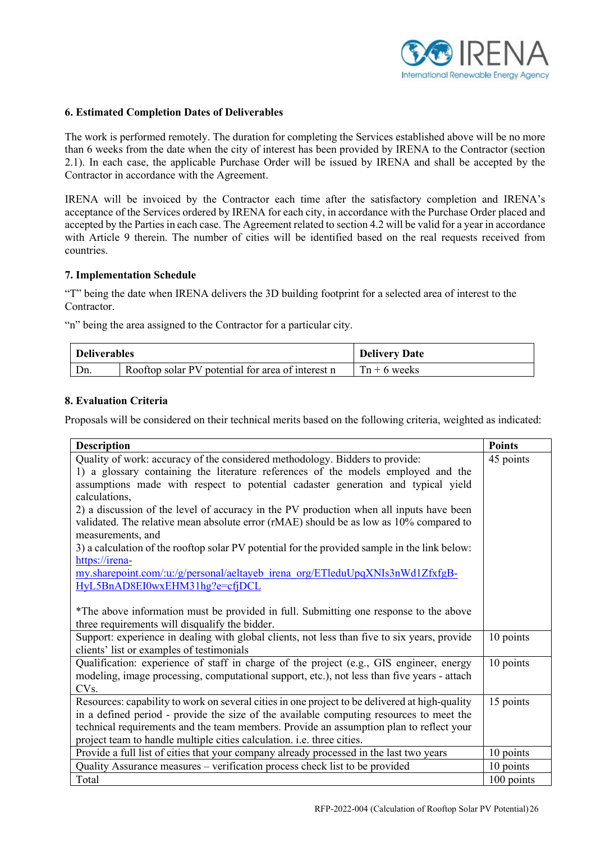

## **6. Estimated Completion Dates of Deliverables**

The work is performed remotely. The duration for completing the Services established above will be no more than 6 weeks from the date when the city of interest has been provided by IRENA to the Contractor (section 2.1). In each case, the applicable Purchase Order will be issued by IRENA and shall be accepted by the Contractor in accordance with the Agreement.

IRENA will be invoiced by the Contractor each time after the satisfactory completion and IRENA's acceptance of the Services ordered by IRENA for each city, in accordance with the Purchase Order placed and accepted by the Parties in each case. The Agreement related to section 4.2 will be valid for a year in accordance with Article 9 therein. The number of cities will be identified based on the real requests received from countries.

#### **7. Implementation Schedule**

"T" being the date when IRENA delivers the 3D building footprint for a selected area of interest to the Contractor.

"n" being the area assigned to the Contractor for a particular city.

| <b>Deliverables</b> |                                                   | <b>Delivery Date</b> |
|---------------------|---------------------------------------------------|----------------------|
| Dn.                 | Rooftop solar PV potential for area of interest n | $Tn + 6$ weeks       |

## **8. Evaluation Criteria**

Proposals will be considered on their technical merits based on the following criteria, weighted as indicated:

| <b>Description</b>                                                                             | <b>Points</b> |
|------------------------------------------------------------------------------------------------|---------------|
| Quality of work: accuracy of the considered methodology. Bidders to provide:                   | 45 points     |
| 1) a glossary containing the literature references of the models employed and the              |               |
| assumptions made with respect to potential cadaster generation and typical yield               |               |
| calculations,                                                                                  |               |
| 2) a discussion of the level of accuracy in the PV production when all inputs have been        |               |
| validated. The relative mean absolute error (rMAE) should be as low as 10% compared to         |               |
| measurements, and                                                                              |               |
| 3) a calculation of the rooftop solar PV potential for the provided sample in the link below:  |               |
| https://irena-                                                                                 |               |
| my.sharepoint.com/:u:/g/personal/aeltayeb irena org/ETleduUpqXNIs3nWd1ZfxfgB-                  |               |
| HyL5BnAD8EI0wxEHM31hg?e=cfjDCL                                                                 |               |
|                                                                                                |               |
| *The above information must be provided in full. Submitting one response to the above          |               |
| three requirements will disqualify the bidder.                                                 |               |
| Support: experience in dealing with global clients, not less than five to six years, provide   | 10 points     |
| clients' list or examples of testimonials                                                      |               |
| Qualification: experience of staff in charge of the project (e.g., GIS engineer, energy        | 10 points     |
| modeling, image processing, computational support, etc.), not less than five years - attach    |               |
| CV <sub>s</sub> .                                                                              |               |
| Resources: capability to work on several cities in one project to be delivered at high-quality | 15 points     |
| in a defined period - provide the size of the available computing resources to meet the        |               |
| technical requirements and the team members. Provide an assumption plan to reflect your        |               |
| project team to handle multiple cities calculation. i.e. three cities.                         |               |
| Provide a full list of cities that your company already processed in the last two years        | 10 points     |
| Quality Assurance measures - verification process check list to be provided                    | 10 points     |
| Total                                                                                          | 100 points    |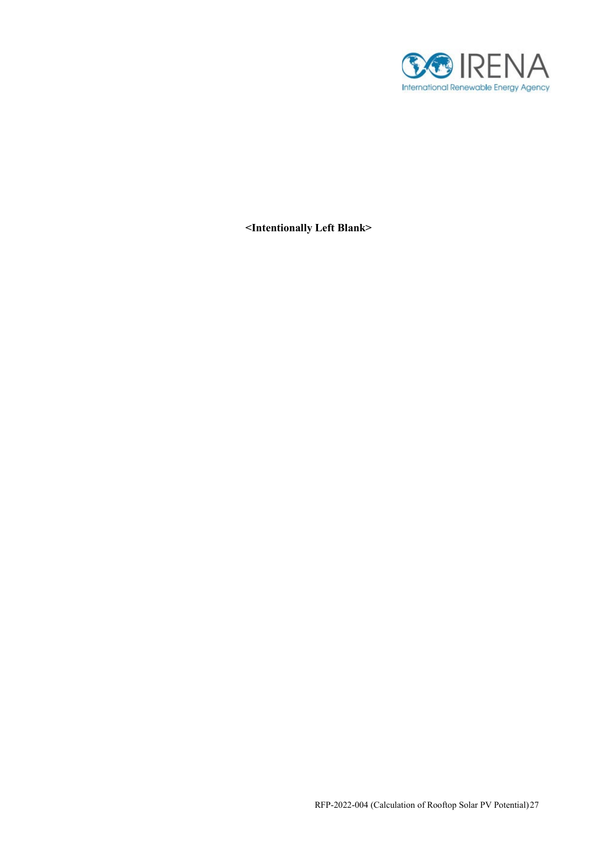

**<Intentionally Left Blank>**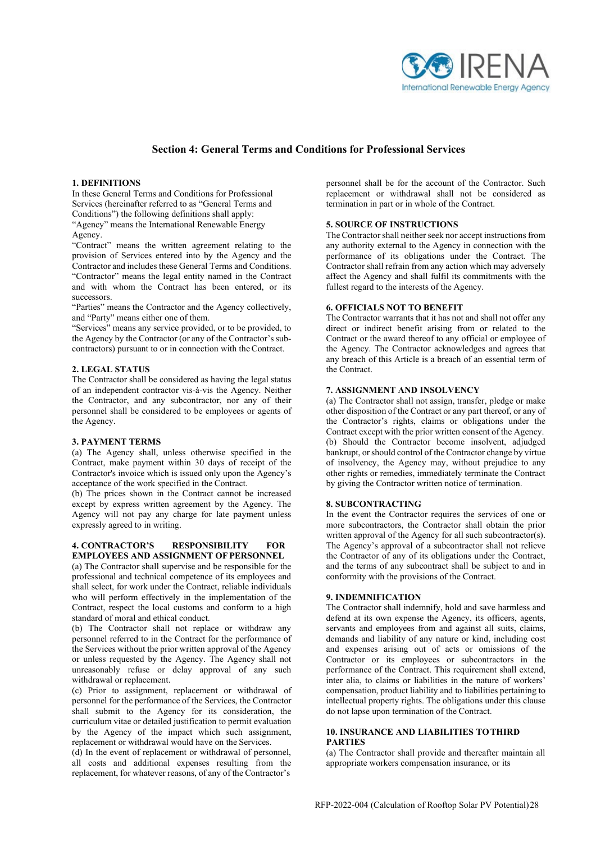

#### **Section 4: General Terms and Conditions for Professional Services**

#### **1. DEFINITIONS**

In these General Terms and Conditions for Professional Services (hereinafter referred to as "General Terms and Conditions") the following definitions shall apply: "Agency" means the International Renewable Energy

Agency.

"Contract" means the written agreement relating to the provision of Services entered into by the Agency and the Contractor and includes these General Terms and Conditions. "Contractor" means the legal entity named in the Contract and with whom the Contract has been entered, or its successors.

"Parties" means the Contractor and the Agency collectively, and "Party" means either one of them.

"Services" means any service provided, or to be provided, to the Agency by the Contractor (or any of the Contractor's subcontractors) pursuant to or in connection with theContract.

#### **2. LEGAL STATUS**

The Contractor shall be considered as having the legal status of an independent contractor vis-à-vis the Agency. Neither the Contractor, and any subcontractor, nor any of their personnel shall be considered to be employees or agents of the Agency.

#### **3. PAYMENT TERMS**

(a) The Agency shall, unless otherwise specified in the Contract, make payment within 30 days of receipt of the Contractor's invoice which is issued only upon the Agency's acceptance of the work specified in the Contract.

(b) The prices shown in the Contract cannot be increased except by express written agreement by the Agency. The Agency will not pay any charge for late payment unless expressly agreed to in writing.

#### **4. CONTRACTOR'S RESPONSIBILITY FOR EMPLOYEES AND ASSIGNMENT OF PERSONNEL**

(a) The Contractor shall supervise and be responsible for the professional and technical competence of its employees and shall select, for work under the Contract, reliable individuals who will perform effectively in the implementation of the Contract, respect the local customs and conform to a high standard of moral and ethical conduct.

(b) The Contractor shall not replace or withdraw any personnel referred to in the Contract for the performance of the Services without the prior written approval of the Agency or unless requested by the Agency. The Agency shall not unreasonably refuse or delay approval of any such withdrawal or replacement.

(c) Prior to assignment, replacement or withdrawal of personnel for the performance of the Services, the Contractor shall submit to the Agency for its consideration, the curriculum vitae or detailed justification to permit evaluation by the Agency of the impact which such assignment, replacement or withdrawal would have on the Services.

(d) In the event of replacement or withdrawal of personnel, all costs and additional expenses resulting from the replacement, for whatever reasons, of any of the Contractor's personnel shall be for the account of the Contractor. Such replacement or withdrawal shall not be considered as termination in part or in whole of the Contract.

#### **5. SOURCE OF INSTRUCTIONS**

The Contractor shall neither seek nor accept instructions from any authority external to the Agency in connection with the performance of its obligations under the Contract. The Contractor shall refrain from any action which may adversely affect the Agency and shall fulfil its commitments with the fullest regard to the interests of the Agency.

#### **6. OFFICIALS NOT TO BENEFIT**

The Contractor warrants that it has not and shall not offer any direct or indirect benefit arising from or related to the Contract or the award thereof to any official or employee of the Agency. The Contractor acknowledges and agrees that any breach of this Article is a breach of an essential term of the Contract.

#### **7. ASSIGNMENT AND INSOLVENCY**

(a) The Contractor shall not assign, transfer, pledge or make other disposition of the Contract or any part thereof, or any of the Contractor's rights, claims or obligations under the Contract except with the prior written consent of the Agency. (b) Should the Contractor become insolvent, adjudged bankrupt, or should control of the Contractor change by virtue of insolvency, the Agency may, without prejudice to any other rights or remedies, immediately terminate the Contract by giving the Contractor written notice of termination.

#### **8. SUBCONTRACTING**

In the event the Contractor requires the services of one or more subcontractors, the Contractor shall obtain the prior written approval of the Agency for all such subcontractor(s). The Agency's approval of a subcontractor shall not relieve the Contractor of any of its obligations under the Contract, and the terms of any subcontract shall be subject to and in conformity with the provisions of the Contract.

#### **9. INDEMNIFICATION**

The Contractor shall indemnify, hold and save harmless and defend at its own expense the Agency, its officers, agents, servants and employees from and against all suits, claims, demands and liability of any nature or kind, including cost and expenses arising out of acts or omissions of the Contractor or its employees or subcontractors in the performance of the Contract. This requirement shall extend, inter alia, to claims or liabilities in the nature of workers' compensation, product liability and to liabilities pertaining to intellectual property rights. The obligations under this clause do not lapse upon termination of the Contract.

#### **10. INSURANCE AND LIABILITIES TOTHIRD PARTIES**

(a) The Contractor shall provide and thereafter maintain all appropriate workers compensation insurance, or its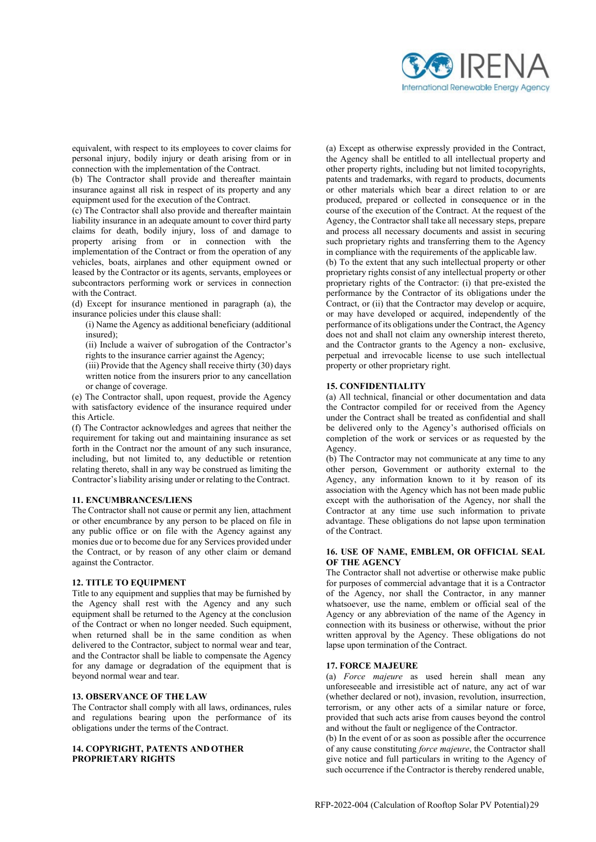

equivalent, with respect to its employees to cover claims for personal injury, bodily injury or death arising from or in connection with the implementation of the Contract.

(b) The Contractor shall provide and thereafter maintain insurance against all risk in respect of its property and any equipment used for the execution of the Contract.

(c) The Contractor shall also provide and thereafter maintain liability insurance in an adequate amount to cover third party claims for death, bodily injury, loss of and damage to property arising from or in connection with the implementation of the Contract or from the operation of any vehicles, boats, airplanes and other equipment owned or leased by the Contractor or its agents, servants, employees or subcontractors performing work or services in connection with the Contract.

(d) Except for insurance mentioned in paragraph (a), the insurance policies under this clause shall:

(i) Name the Agency as additional beneficiary (additional insured);

(ii) Include a waiver of subrogation of the Contractor's rights to the insurance carrier against the Agency;

(iii) Provide that the Agency shall receive thirty (30) days written notice from the insurers prior to any cancellation or change of coverage.

(e) The Contractor shall, upon request, provide the Agency with satisfactory evidence of the insurance required under this Article.

(f) The Contractor acknowledges and agrees that neither the requirement for taking out and maintaining insurance as set forth in the Contract nor the amount of any such insurance, including, but not limited to, any deductible or retention relating thereto, shall in any way be construed as limiting the Contractor's liability arising under or relating to the Contract.

#### **11. ENCUMBRANCES/LIENS**

The Contractor shall not cause or permit any lien, attachment or other encumbrance by any person to be placed on file in any public office or on file with the Agency against any monies due or to become due for any Services provided under the Contract, or by reason of any other claim or demand against the Contractor.

#### **12. TITLE TO EQUIPMENT**

Title to any equipment and supplies that may be furnished by the Agency shall rest with the Agency and any such equipment shall be returned to the Agency at the conclusion of the Contract or when no longer needed. Such equipment, when returned shall be in the same condition as when delivered to the Contractor, subject to normal wear and tear, and the Contractor shall be liable to compensate the Agency for any damage or degradation of the equipment that is beyond normal wear and tear.

#### **13. OBSERVANCE OF THELAW**

The Contractor shall comply with all laws, ordinances, rules and regulations bearing upon the performance of its obligations under the terms of the Contract.

#### **14. COPYRIGHT, PATENTS AND OTHER PROPRIETARY RIGHTS**

(a) Except as otherwise expressly provided in the Contract, the Agency shall be entitled to all intellectual property and other property rights, including but not limited tocopyrights, patents and trademarks, with regard to products, documents or other materials which bear a direct relation to or are produced, prepared or collected in consequence or in the course of the execution of the Contract. At the request of the Agency, the Contractor shall take all necessary steps, prepare and process all necessary documents and assist in securing such proprietary rights and transferring them to the Agency in compliance with the requirements of the applicable law.

(b) To the extent that any such intellectual property or other proprietary rights consist of any intellectual property or other proprietary rights of the Contractor: (i) that pre-existed the performance by the Contractor of its obligations under the Contract, or (ii) that the Contractor may develop or acquire, or may have developed or acquired, independently of the performance of its obligations under the Contract, the Agency does not and shall not claim any ownership interest thereto, and the Contractor grants to the Agency a non- exclusive, perpetual and irrevocable license to use such intellectual property or other proprietary right.

#### **15. CONFIDENTIALITY**

(a) All technical, financial or other documentation and data the Contractor compiled for or received from the Agency under the Contract shall be treated as confidential and shall be delivered only to the Agency's authorised officials on completion of the work or services or as requested by the Agency.

(b) The Contractor may not communicate at any time to any other person, Government or authority external to the Agency, any information known to it by reason of its association with the Agency which has not been made public except with the authorisation of the Agency, nor shall the Contractor at any time use such information to private advantage. These obligations do not lapse upon termination of the Contract.

#### **16. USE OF NAME, EMBLEM, OR OFFICIAL SEAL OF THE AGENCY**

The Contractor shall not advertise or otherwise make public for purposes of commercial advantage that it is a Contractor of the Agency, nor shall the Contractor, in any manner whatsoever, use the name, emblem or official seal of the Agency or any abbreviation of the name of the Agency in connection with its business or otherwise, without the prior written approval by the Agency. These obligations do not lapse upon termination of the Contract.

#### **17. FORCE MAJEURE**

(a) *Force majeure* as used herein shall mean any unforeseeable and irresistible act of nature, any act of war (whether declared or not), invasion, revolution, insurrection, terrorism, or any other acts of a similar nature or force, provided that such acts arise from causes beyond the control and without the fault or negligence of the Contractor.

(b) In the event of or as soon as possible after the occurrence of any cause constituting *force majeure*, the Contractor shall give notice and full particulars in writing to the Agency of such occurrence if the Contractor is thereby rendered unable,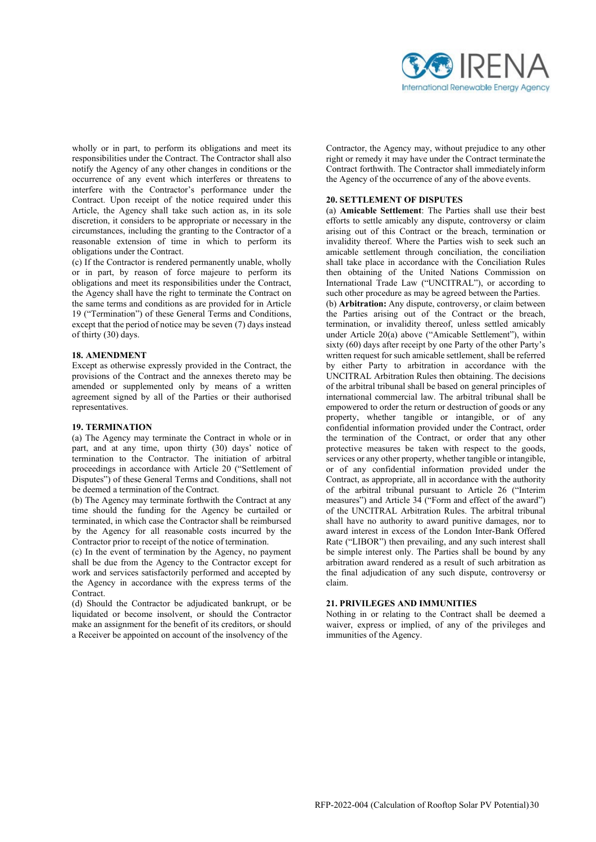

wholly or in part, to perform its obligations and meet its responsibilities under the Contract. The Contractor shall also notify the Agency of any other changes in conditions or the occurrence of any event which interferes or threatens to interfere with the Contractor's performance under the Contract. Upon receipt of the notice required under this Article, the Agency shall take such action as, in its sole discretion, it considers to be appropriate or necessary in the circumstances, including the granting to the Contractor of a reasonable extension of time in which to perform its obligations under the Contract.

(c) If the Contractor is rendered permanently unable, wholly or in part, by reason of force majeure to perform its obligations and meet its responsibilities under the Contract, the Agency shall have the right to terminate the Contract on the same terms and conditions as are provided for in Article 19 ("Termination") of these General Terms and Conditions, except that the period of notice may be seven (7) days instead of thirty (30) days.

#### **18. AMENDMENT**

Except as otherwise expressly provided in the Contract, the provisions of the Contract and the annexes thereto may be amended or supplemented only by means of a written agreement signed by all of the Parties or their authorised representatives.

#### **19. TERMINATION**

(a) The Agency may terminate the Contract in whole or in part, and at any time, upon thirty (30) days' notice of termination to the Contractor. The initiation of arbitral proceedings in accordance with Article 20 ("Settlement of Disputes") of these General Terms and Conditions, shall not be deemed a termination of the Contract.

(b) The Agency may terminate forthwith the Contract at any time should the funding for the Agency be curtailed or terminated, in which case the Contractor shall be reimbursed by the Agency for all reasonable costs incurred by the Contractor prior to receipt of the notice of termination.

(c) In the event of termination by the Agency, no payment shall be due from the Agency to the Contractor except for work and services satisfactorily performed and accepted by the Agency in accordance with the express terms of the **Contract** 

(d) Should the Contractor be adjudicated bankrupt, or be liquidated or become insolvent, or should the Contractor make an assignment for the benefit of its creditors, or should a Receiver be appointed on account of the insolvency of the

Contractor, the Agency may, without prejudice to any other right or remedy it may have under the Contract terminate the Contract forthwith. The Contractor shall immediately inform the Agency of the occurrence of any of the above events.

#### **20. SETTLEMENT OF DISPUTES**

(a) **Amicable Settlement**: The Parties shall use their best efforts to settle amicably any dispute, controversy or claim arising out of this Contract or the breach, termination or invalidity thereof. Where the Parties wish to seek such an amicable settlement through conciliation, the conciliation shall take place in accordance with the Conciliation Rules then obtaining of the United Nations Commission on International Trade Law ("UNCITRAL"), or according to such other procedure as may be agreed between the Parties.

(b) **Arbitration:** Any dispute, controversy, or claim between the Parties arising out of the Contract or the breach, termination, or invalidity thereof, unless settled amicably under Article 20(a) above ("Amicable Settlement"), within sixty (60) days after receipt by one Party of the other Party's written request for such amicable settlement, shall be referred by either Party to arbitration in accordance with the UNCITRAL Arbitration Rules then obtaining. The decisions of the arbitral tribunal shall be based on general principles of international commercial law. The arbitral tribunal shall be empowered to order the return or destruction of goods or any property, whether tangible or intangible, or of any confidential information provided under the Contract, order the termination of the Contract, or order that any other protective measures be taken with respect to the goods, services or any other property, whether tangible or intangible, or of any confidential information provided under the Contract, as appropriate, all in accordance with the authority of the arbitral tribunal pursuant to Article 26 ("Interim measures") and Article 34 ("Form and effect of the award") of the UNCITRAL Arbitration Rules. The arbitral tribunal shall have no authority to award punitive damages, nor to award interest in excess of the London Inter-Bank Offered Rate ("LIBOR") then prevailing, and any such interest shall be simple interest only. The Parties shall be bound by any arbitration award rendered as a result of such arbitration as the final adjudication of any such dispute, controversy or claim.

#### **21. PRIVILEGES AND IMMUNITIES**

Nothing in or relating to the Contract shall be deemed a waiver, express or implied, of any of the privileges and immunities of the Agency.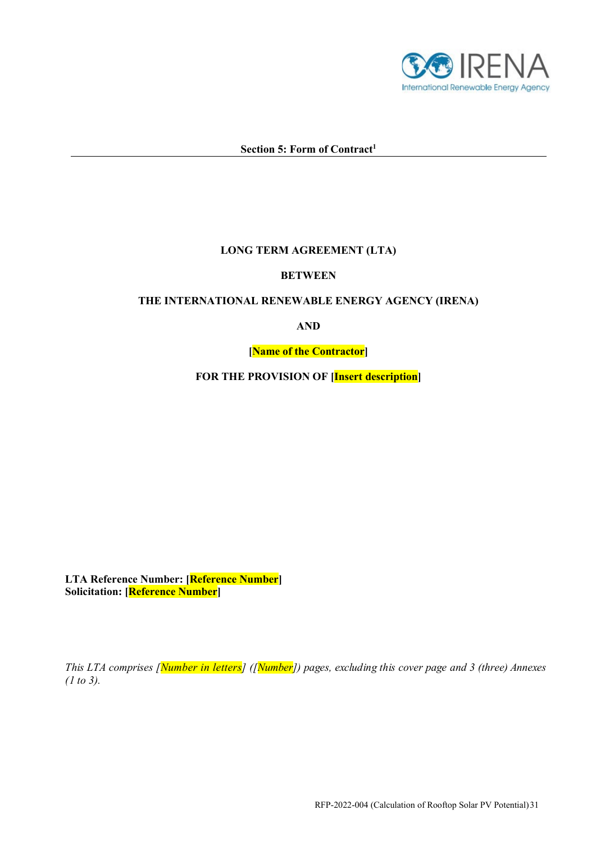

# Section 5: Form of Contract<sup>1</sup>

## **LONG TERM AGREEMENT (LTA)**

## **BETWEEN**

# **THE INTERNATIONAL RENEWABLE ENERGY AGENCY (IRENA)**

**AND** 

**[Name of the Contractor]** 

**FOR THE PROVISION OF [Insert description]** 

**LTA Reference Number: [Reference Number] Solicitation: [Reference Number]** 

*This LTA comprises [Number in letters] ([Number]) pages, excluding this cover page and 3 (three) Annexes (1 to 3).*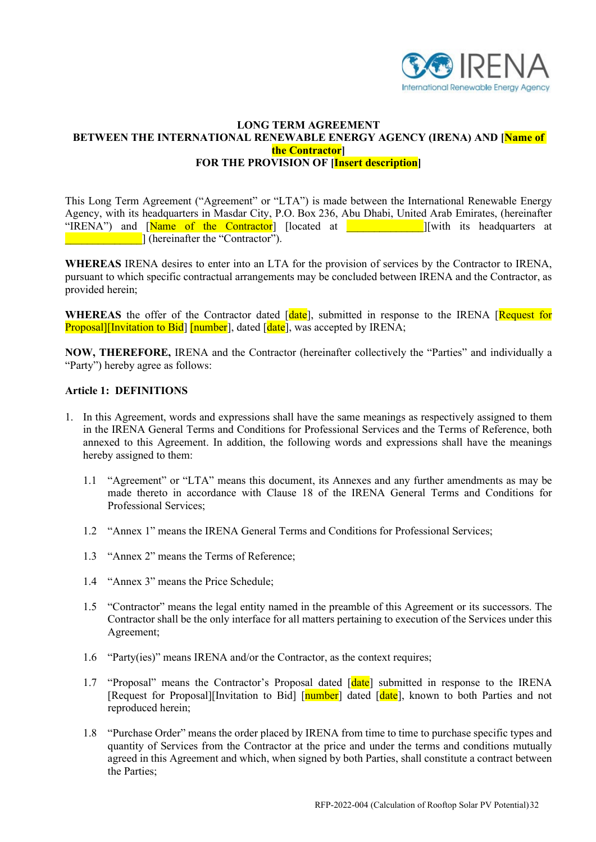

## **LONG TERM AGREEMENT BETWEEN THE INTERNATIONAL RENEWABLE ENERGY AGENCY (IRENA) AND [Name of the Contractor] FOR THE PROVISION OF [Insert description]**

This Long Term Agreement ("Agreement" or "LTA") is made between the International Renewable Energy Agency, with its headquarters in Masdar City, P.O. Box 236, Abu Dhabi, United Arab Emirates, (hereinafter "IRENA") and **Name of the Contractor** [located at **The Industry is the independent of the Contractor** [located at  $\blacksquare$ **Example 2.1** (hereinafter the "Contractor").

**WHEREAS** IRENA desires to enter into an LTA for the provision of services by the Contractor to IRENA, pursuant to which specific contractual arrangements may be concluded between IRENA and the Contractor, as provided herein;

WHEREAS the offer of the Contractor dated [date], submitted in response to the IRENA [Request for Proposal][Invitation to Bid] [number], dated [date], was accepted by IRENA;

**NOW, THEREFORE,** IRENA and the Contractor (hereinafter collectively the "Parties" and individually a "Party") hereby agree as follows:

#### **Article 1: DEFINITIONS**

- 1. In this Agreement, words and expressions shall have the same meanings as respectively assigned to them in the IRENA General Terms and Conditions for Professional Services and the Terms of Reference, both annexed to this Agreement. In addition, the following words and expressions shall have the meanings hereby assigned to them:
	- 1.1 "Agreement" or "LTA" means this document, its Annexes and any further amendments as may be made thereto in accordance with Clause 18 of the IRENA General Terms and Conditions for Professional Services;
	- 1.2 "Annex 1" means the IRENA General Terms and Conditions for Professional Services;
	- 1.3 "Annex 2" means the Terms of Reference;
	- 1.4 "Annex 3" means the Price Schedule;
	- 1.5 "Contractor" means the legal entity named in the preamble of this Agreement or its successors. The Contractor shall be the only interface for all matters pertaining to execution of the Services under this Agreement;
	- 1.6 "Party(ies)" means IRENA and/or the Contractor, as the context requires;
	- 1.7 "Proposal" means the Contractor's Proposal dated [date] submitted in response to the IRENA [Request for Proposal][Invitation to Bid] [*number*] dated [*date*], known to both Parties and not reproduced herein;
	- 1.8 "Purchase Order" means the order placed by IRENA from time to time to purchase specific types and quantity of Services from the Contractor at the price and under the terms and conditions mutually agreed in this Agreement and which, when signed by both Parties, shall constitute a contract between the Parties;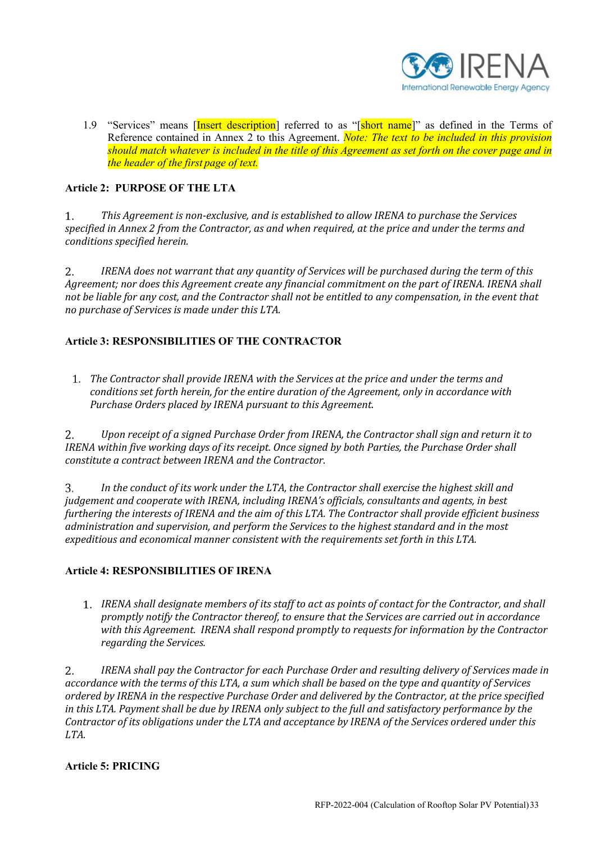

1.9 "Services" means [Insert description] referred to as "[short name]" as defined in the Terms of Reference contained in Annex 2 to this Agreement. *Note: The text to be included in this provision should match whatever is included in the title of this Agreement as set forth on the cover page and in the header of the first page of text.*

# **Article 2: PURPOSE OF THE LTA**

1. *This Agreement is non-exclusive, and is established to allow IRENA to purchase the Services specified in Annex 2 from the Contractor, as and when required, at the price and under the terms and conditions specified herein.* 

2. *IRENA does not warrant that any quantity of Services will be purchased during the term of this Agreement; nor does this Agreement create any financial commitment on the part of IRENA. IRENA shall not be liable for any cost, and the Contractor shall not be entitled to any compensation, in the event that no purchase of Services is made under this LTA.*

# **Article 3: RESPONSIBILITIES OF THE CONTRACTOR**

*The Contractor shall provide IRENA with the Services at the price and under the terms and conditions set forth herein, for the entire duration of the Agreement, only in accordance with Purchase Orders placed by IRENA pursuant to this Agreement.* 

2. *Upon receipt of a signed Purchase Order from IRENA, the Contractor shall sign and return it to IRENA within five working days of its receipt. Once signed by both Parties, the Purchase Order shall constitute a contract between IRENA and the Contractor.*

3. *In the conduct of its work under the LTA, the Contractor shall exercise the highest skill and judgement and cooperate with IRENA, including IRENA's officials, consultants and agents, in best furthering the interests of IRENA and the aim of this LTA. The Contractor shall provide efficient business administration and supervision, and perform the Services to the highest standard and in the most expeditious and economical manner consistent with the requirements set forth in this LTA.*

# **Article 4: RESPONSIBILITIES OF IRENA**

*IRENA shall designate members of its staff to act as points of contact for the Contractor, and shall promptly notify the Contractor thereof, to ensure that the Services are carried out in accordance with this Agreement. IRENA shall respond promptly to requests for information by the Contractor regarding the Services.*

2. *IRENA shall pay the Contractor for each Purchase Order and resulting delivery of Services made in accordance with the terms of this LTA, a sum which shall be based on the type and quantity of Services ordered by IRENA in the respective Purchase Order and delivered by the Contractor, at the price specified in this LTA. Payment shall be due by IRENA only subject to the full and satisfactory performance by the Contractor of its obligations under the LTA and acceptance by IRENA of the Services ordered under this LTA.*

# **Article 5: PRICING**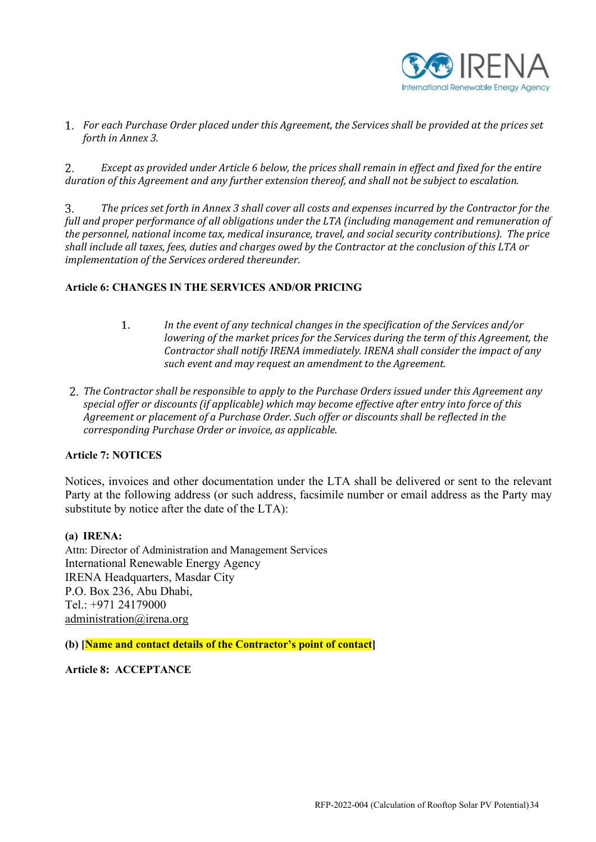

*For each Purchase Order placed under this Agreement, the Services shall be provided at the prices set forth in Annex 3.* 

 $2.$ *Except as provided under Article 6 below, the prices shall remain in effect and fixed for the entire duration of this Agreement and any further extension thereof, and shall not be subject to escalation.* 

*The prices set forth in Annex 3 shall cover all costs and expenses incurred by the Contractor for the*  3. *full and proper performance of all obligations under the LTA (including management and remuneration of the personnel, national income tax, medical insurance, travel, and social security contributions). The price shall include all taxes, fees, duties and charges owed by the Contractor at the conclusion of this LTA or implementation of the Services ordered thereunder.*

## **Article 6: CHANGES IN THE SERVICES AND/OR PRICING**

- $1.$ *In the event of any technical changes in the specification of the Services and/or lowering of the market prices for the Services during the term of this Agreement, the Contractor shall notify IRENA immediately. IRENA shall consider the impact of any such event and may request an amendment to the Agreement.*
- *The Contractor shall be responsible to apply to the Purchase Orders issued under this Agreement any special offer or discounts (if applicable) which may become effective after entry into force of this Agreement or placement of a Purchase Order. Such offer or discounts shall be reflected in the corresponding Purchase Order or invoice, as applicable.*

## **Article 7: NOTICES**

Notices, invoices and other documentation under the LTA shall be delivered or sent to the relevant Party at the following address (or such address, facsimile number or email address as the Party may substitute by notice after the date of the LTA):

## **(a) IRENA:**

Attn: Director of Administration and Management Services International Renewable Energy Agency IRENA Headquarters, Masdar City P.O. Box 236, Abu Dhabi, Tel.: +971 24179000 [administration@irena.org](mailto:administration@irena.org)

**(b) [Name and contact details of the Contractor's point of contact]** 

**Article 8: ACCEPTANCE**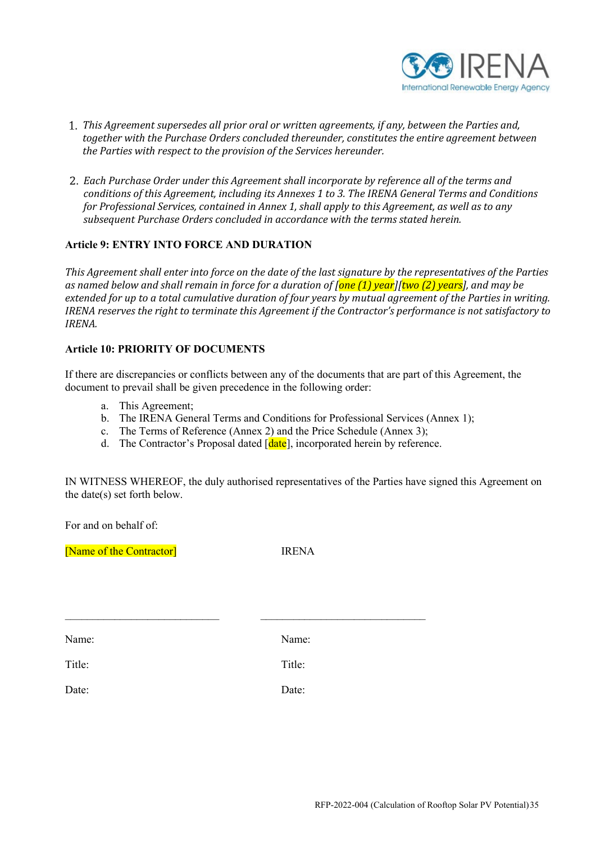

- *This Agreement supersedes all prior oral or written agreements, if any, between the Parties and, together with the Purchase Orders concluded thereunder, constitutes the entire agreement between the Parties with respect to the provision of the Services hereunder.*
- *Each Purchase Order under this Agreement shall incorporate by reference all of the terms and conditions of this Agreement, including its Annexes 1 to 3. The IRENA General Terms and Conditions for Professional Services, contained in Annex 1, shall apply to this Agreement, as well as to any subsequent Purchase Orders concluded in accordance with the terms stated herein.*

## **Article 9: ENTRY INTO FORCE AND DURATION**

*This Agreement shall enter into force on the date of the last signature by the representatives of the Parties as named below and shall remain in force for a duration of [one (1) year][two (2) years], and may be extended for up to a total cumulative duration of four years by mutual agreement of the Parties in writing. IRENA reserves the right to terminate this Agreement if the Contractor's performance is not satisfactory to IRENA.* 

## **Article 10: PRIORITY OF DOCUMENTS**

If there are discrepancies or conflicts between any of the documents that are part of this Agreement, the document to prevail shall be given precedence in the following order:

- a. This Agreement;
- b. The IRENA General Terms and Conditions for Professional Services (Annex 1);
- c. The Terms of Reference (Annex 2) and the Price Schedule (Annex 3);
- d. The Contractor's Proposal dated [date], incorporated herein by reference.

IN WITNESS WHEREOF, the duly authorised representatives of the Parties have signed this Agreement on the date(s) set forth below.

For and on behalf of:

[Name of the Contractor] **IRENA** 

Name: Name:

\_\_\_\_\_\_\_\_\_\_\_\_\_\_\_\_\_\_\_\_\_\_\_\_\_\_\_\_ \_\_\_\_\_\_\_\_\_\_\_\_\_\_\_\_\_\_\_\_\_\_\_\_\_\_\_\_\_\_

Title: Title:

Date: Date: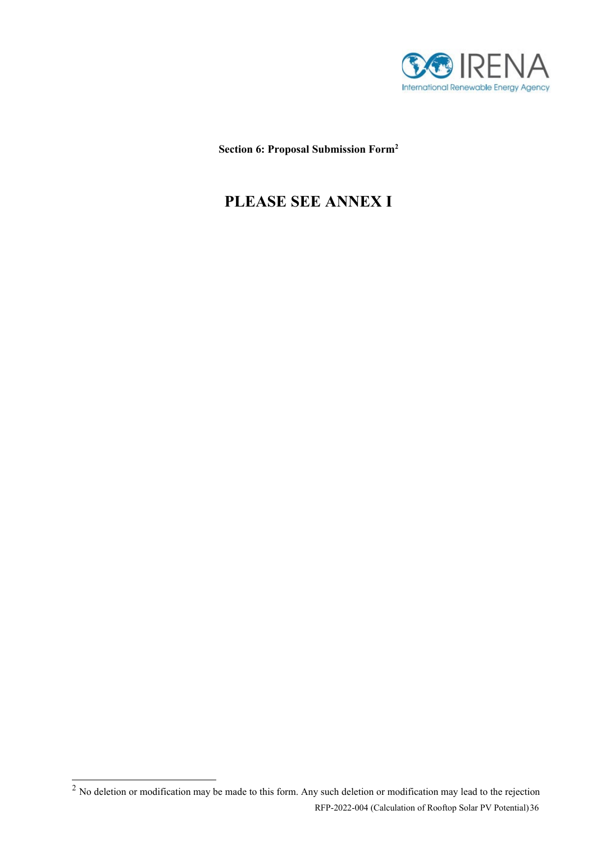

**Section 6: Proposal Submission For[m2](#page-35-0)**

# **PLEASE SEE ANNEX I**

<span id="page-35-0"></span>RFP-2022-004 (Calculation of Rooftop Solar PV Potential)36  $\overline{a}$  No deletion or modification may be made to this form. Any such deletion or modification may lead to the rejection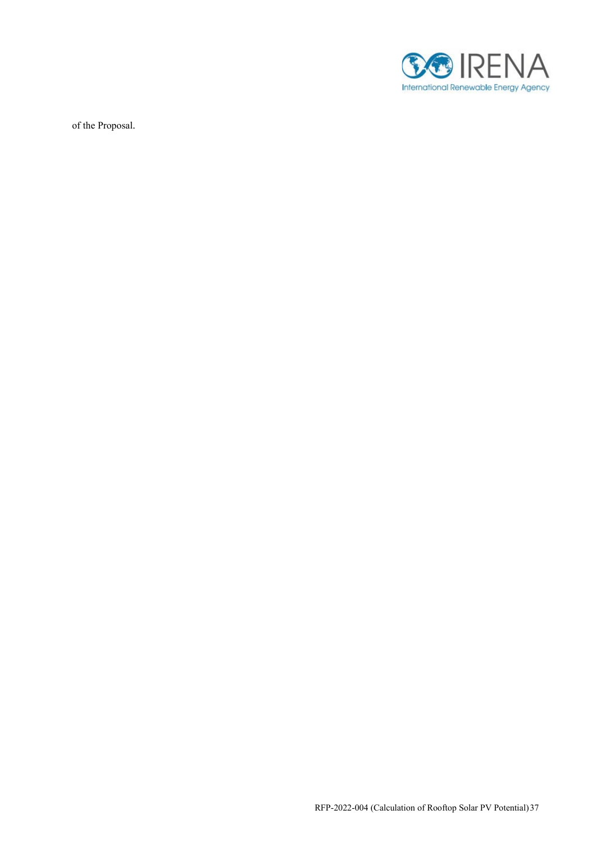

of the Proposal.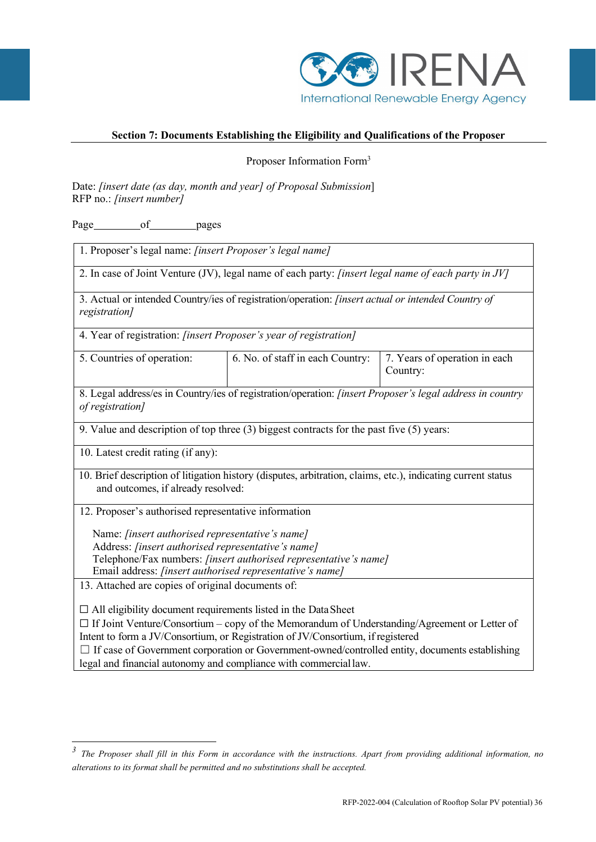

## **Section 7: Documents Establishing the Eligibility and Qualifications of the Proposer**

Proposer Information For[m3](#page-37-0)

Date: *[insert date (as day, month and year] of Proposal Submission*] RFP no.: *[insert number]* 

Page of pages

1. Proposer's legal name: *[insert Proposer's legal name]* 2. In case of Joint Venture (JV), legal name of each party: *[insert legal name of each party in JV]* 3. Actual or intended Country/ies of registration/operation: *[insert actual or intended Country of registration]* 4. Year of registration: *[insert Proposer's year of registration]* 5. Countries of operation: 6. No. of staff in each Country: 7. Years of operation in each Country: 8. Legal address/es in Country/ies of registration/operation: *[insert Proposer's legal address in country of registration]* 9. Value and description of top three (3) biggest contracts for the past five (5) years: 10. Latest credit rating (if any): 10. Brief description of litigation history (disputes, arbitration, claims, etc.), indicating current status and outcomes, if already resolved: 12. Proposer's authorised representative information Name: *[insert authorised representative's name]* Address: *[insert authorised representative's name]* Telephone/Fax numbers: *[insert authorised representative's name]* Email address: *[insert authorised representative's name]* 13. Attached are copies of original documents of:  $\Box$  All eligibility document requirements listed in the Data Sheet  $\Box$  If Joint Venture/Consortium – copy of the Memorandum of Understanding/Agreement or Letter of Intent to form a JV/Consortium, or Registration of JV/Consortium, ifregistered □ If case of Government corporation or Government-owned/controlled entity, documents establishing legal and financial autonomy and compliance with commerciallaw.

<span id="page-37-0"></span>*alterations to its format shall be permitted and no substitutions shall be accepted.* <sup>3</sup> The Proposer shall fill in this Form in accordance with the instructions. Apart from providing additional information, no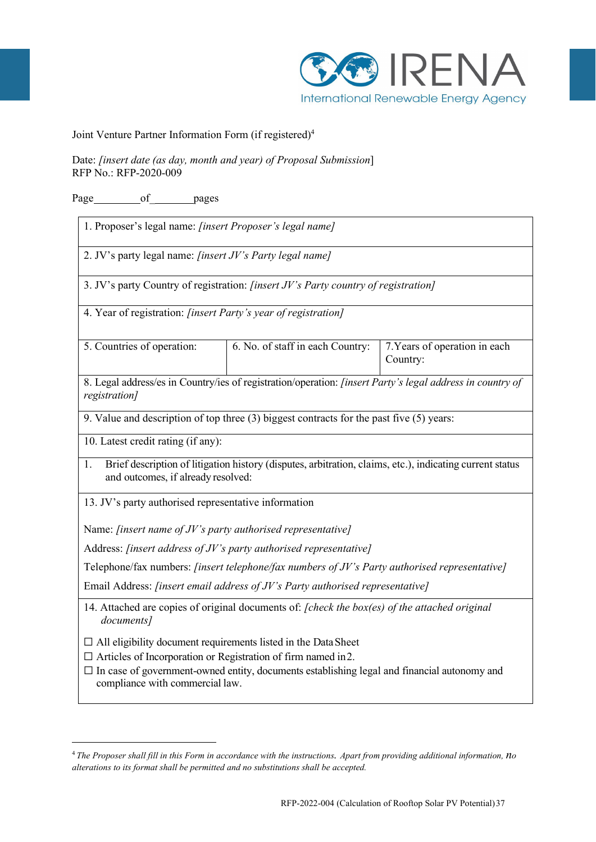

Joint Venture Partner Information Form (if registered[\)4](#page-38-0)

Date: *[insert date (as day, month and year) of Proposal Submission*] RFP No.: RFP-2020-009

Page of pages

1. Proposer's legal name: *[insert Proposer's legal name]*

2. JV's party legal name: *[insert JV's Party legal name]*

3. JV's party Country of registration: *[insert JV's Party country of registration]*

4. Year of registration: *[insert Party's year of registration]*

| 6. No. of staff in each Country: 7. Years of operation in each |          |
|----------------------------------------------------------------|----------|
|                                                                | Country: |
|                                                                |          |

8. Legal address/es in Country/ies of registration/operation: *[insert Party's legal address in country of registration]*

9. Value and description of top three (3) biggest contracts for the past five (5) years:

10. Latest credit rating (if any):

1. Brief description of litigation history (disputes, arbitration, claims, etc.), indicating current status and outcomes, if already resolved:

13. JV's party authorised representative information

Name: *[insert name of JV's party authorised representative]*

Address: *[insert address of JV's party authorised representative]*

Telephone/fax numbers: *[insert telephone/fax numbers of JV's Party authorised representative]*

Email Address: *[insert email address of JV's Party authorised representative]*

14. Attached are copies of original documents of: *[check the box(es) of the attached original documents]* 

 $\Box$  All eligibility document requirements listed in the Data Sheet

- ☐ Articles of Incorporation or Registration of firm named in2.
- $\Box$  In case of government-owned entity, documents establishing legal and financial autonomy and compliance with commercial law.

<span id="page-38-0"></span>*alterations to its format shall be permitted and no substitutions shall be accepted.* 4 *The Proposer shall fill in this Form in accordance with the instructions. Apart from providing additional information, no*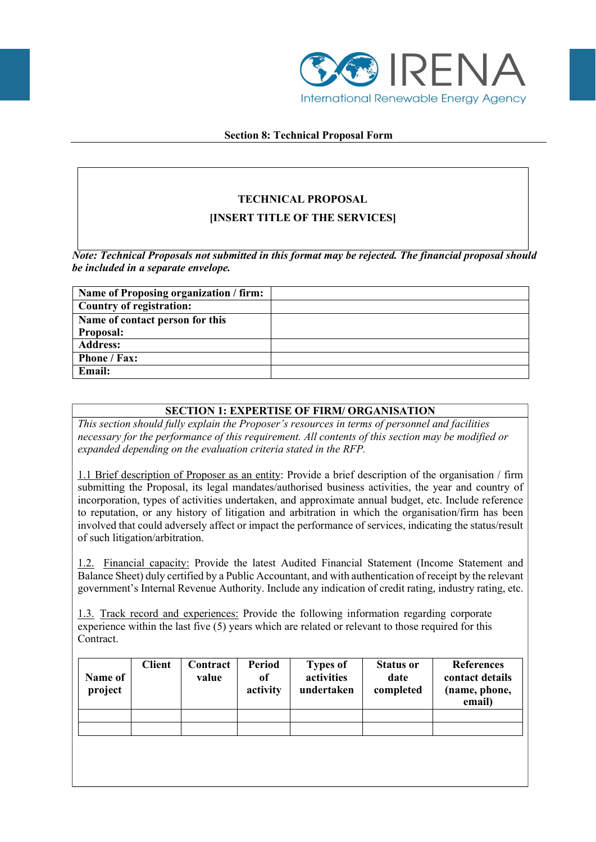

## **Section 8: Technical Proposal Form**

# **TECHNICAL PROPOSAL**

# **[INSERT TITLE OF THE SERVICES]**

*Note: Technical Proposals not submitted in this format may be rejected. The financial proposal should be included in a separate envelope.*

| Name of Proposing organization / firm: |  |
|----------------------------------------|--|
| <b>Country of registration:</b>        |  |
| Name of contact person for this        |  |
| <b>Proposal:</b>                       |  |
| <b>Address:</b>                        |  |
| Phone / Fax:                           |  |
| <b>Email:</b>                          |  |

# **SECTION 1: EXPERTISE OF FIRM/ ORGANISATION**

*This section should fully explain the Proposer's resources in terms of personnel and facilities necessary for the performance of this requirement. All contents of this section may be modified or expanded depending on the evaluation criteria stated in the RFP.* 

1.1 Brief description of Proposer as an entity: Provide a brief description of the organisation / firm submitting the Proposal, its legal mandates/authorised business activities, the year and country of incorporation, types of activities undertaken, and approximate annual budget, etc. Include reference to reputation, or any history of litigation and arbitration in which the organisation/firm has been involved that could adversely affect or impact the performance of services, indicating the status/result of such litigation/arbitration.

1.2. Financial capacity: Provide the latest Audited Financial Statement (Income Statement and Balance Sheet) duly certified by a Public Accountant, and with authentication of receipt by the relevant government's Internal Revenue Authority. Include any indication of credit rating, industry rating, etc.

1.3. Track record and experiences: Provide the following information regarding corporate experience within the last five (5) years which are related or relevant to those required for this Contract.

| Name of<br>project | <b>Client</b> | Contract<br>value | Period<br>of<br>activity | <b>Types of</b><br>activities<br>undertaken | <b>Status or</b><br>date<br>completed | <b>References</b><br>contact details<br>(name, phone,<br>email) |
|--------------------|---------------|-------------------|--------------------------|---------------------------------------------|---------------------------------------|-----------------------------------------------------------------|
|                    |               |                   |                          |                                             |                                       |                                                                 |
|                    |               |                   |                          |                                             |                                       |                                                                 |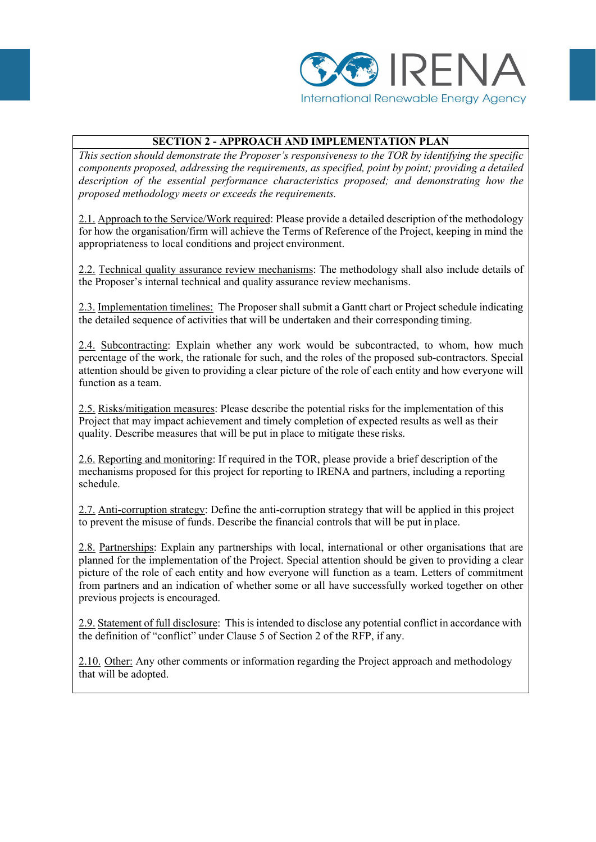

# **SECTION 2 - APPROACH AND IMPLEMENTATION PLAN**

*This section should demonstrate the Proposer's responsiveness to the TOR by identifying the specific components proposed, addressing the requirements, as specified, point by point; providing a detailed description of the essential performance characteristics proposed; and demonstrating how the proposed methodology meets or exceeds the requirements.*

2.1. Approach to the Service/Work required: Please provide a detailed description of the methodology for how the organisation/firm will achieve the Terms of Reference of the Project, keeping in mind the appropriateness to local conditions and project environment.

2.2. Technical quality assurance review mechanisms: The methodology shall also include details of the Proposer's internal technical and quality assurance review mechanisms.

2.3. Implementation timelines: The Proposer shall submit a Gantt chart or Project schedule indicating the detailed sequence of activities that will be undertaken and their corresponding timing.

2.4. Subcontracting: Explain whether any work would be subcontracted, to whom, how much percentage of the work, the rationale for such, and the roles of the proposed sub-contractors. Special attention should be given to providing a clear picture of the role of each entity and how everyone will function as a team.

2.5. Risks/mitigation measures: Please describe the potential risks for the implementation of this Project that may impact achievement and timely completion of expected results as well as their quality. Describe measures that will be put in place to mitigate these risks.

2.6. Reporting and monitoring: If required in the TOR, please provide a brief description of the mechanisms proposed for this project for reporting to IRENA and partners, including a reporting schedule.

2.7. Anti-corruption strategy: Define the anti-corruption strategy that will be applied in this project to prevent the misuse of funds. Describe the financial controls that will be put in place.

2.8. Partnerships: Explain any partnerships with local, international or other organisations that are planned for the implementation of the Project. Special attention should be given to providing a clear picture of the role of each entity and how everyone will function as a team. Letters of commitment from partners and an indication of whether some or all have successfully worked together on other previous projects is encouraged.

2.9. Statement of full disclosure: Thisis intended to disclose any potential conflict in accordance with the definition of "conflict" under Clause 5 of Section 2 of the RFP, if any.

2.10. Other: Any other comments or information regarding the Project approach and methodology that will be adopted.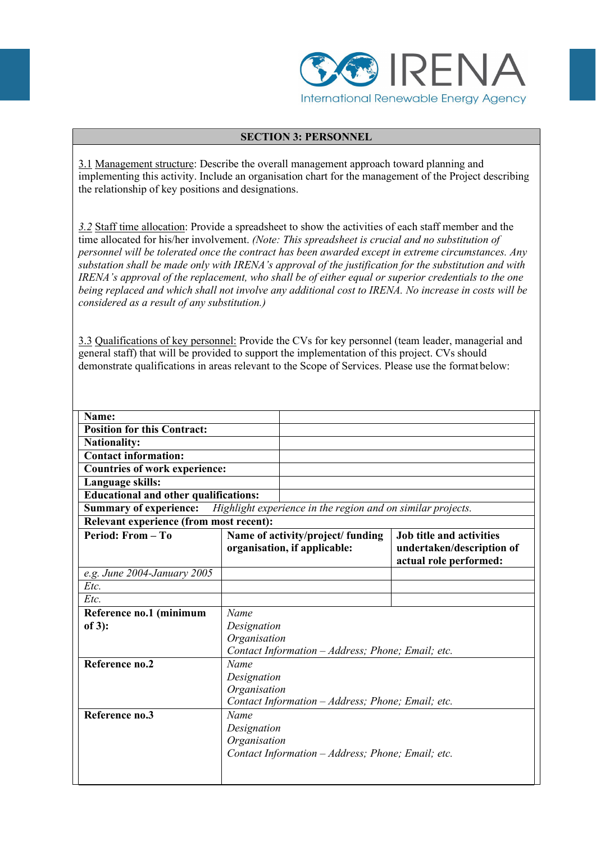

## **SECTION 3: PERSONNEL**

3.1 Management structure: Describe the overall management approach toward planning and implementing this activity. Include an organisation chart for the management of the Project describing the relationship of key positions and designations.

*3.2* Staff time allocation: Provide a spreadsheet to show the activities of each staff member and the time allocated for his/her involvement. *(Note: This spreadsheet is crucial and no substitution of personnel will be tolerated once the contract has been awarded except in extreme circumstances. Any substation shall be made only with IRENA's approval of the justification for the substitution and with IRENA's approval of the replacement, who shall be of either equal or superior credentials to the one being replaced and which shall not involve any additional cost to IRENA. No increase in costs will be considered as a result of any substitution.)* 

3.3 Qualifications of key personnel: Provide the CVs for key personnel (team leader, managerial and general staff) that will be provided to support the implementation of this project. CVs should demonstrate qualifications in areas relevant to the Scope of Services. Please use the format below:

| Name:                                          |              |                                                                   |                                                                                        |
|------------------------------------------------|--------------|-------------------------------------------------------------------|----------------------------------------------------------------------------------------|
| <b>Position for this Contract:</b>             |              |                                                                   |                                                                                        |
| <b>Nationality:</b>                            |              |                                                                   |                                                                                        |
| <b>Contact information:</b>                    |              |                                                                   |                                                                                        |
| <b>Countries of work experience:</b>           |              |                                                                   |                                                                                        |
| Language skills:                               |              |                                                                   |                                                                                        |
| <b>Educational and other qualifications:</b>   |              |                                                                   |                                                                                        |
| <b>Summary of experience:</b>                  |              | Highlight experience in the region and on similar projects.       |                                                                                        |
| <b>Relevant experience (from most recent):</b> |              |                                                                   |                                                                                        |
| Period: From - To                              |              | Name of activity/project/ funding<br>organisation, if applicable: | <b>Job title and activities</b><br>undertaken/description of<br>actual role performed: |
| e.g. June 2004-January 2005                    |              |                                                                   |                                                                                        |
| Etc.                                           |              |                                                                   |                                                                                        |
| Etc.                                           |              |                                                                   |                                                                                        |
| Reference no.1 (minimum                        | Name         |                                                                   |                                                                                        |
| of $3$ :                                       | Designation  |                                                                   |                                                                                        |
|                                                | Organisation | Contact Information - Address; Phone; Email; etc.                 |                                                                                        |
| Reference no.2<br>Name                         |              |                                                                   |                                                                                        |
|                                                | Designation  |                                                                   |                                                                                        |
| Organisation                                   |              |                                                                   |                                                                                        |
|                                                |              | Contact Information - Address; Phone; Email; etc.                 |                                                                                        |
| Reference no.3                                 | Name         |                                                                   |                                                                                        |
| Designation                                    |              |                                                                   |                                                                                        |
|                                                | Organisation |                                                                   |                                                                                        |
|                                                |              | Contact Information - Address; Phone; Email; etc.                 |                                                                                        |
|                                                |              |                                                                   |                                                                                        |
|                                                |              |                                                                   |                                                                                        |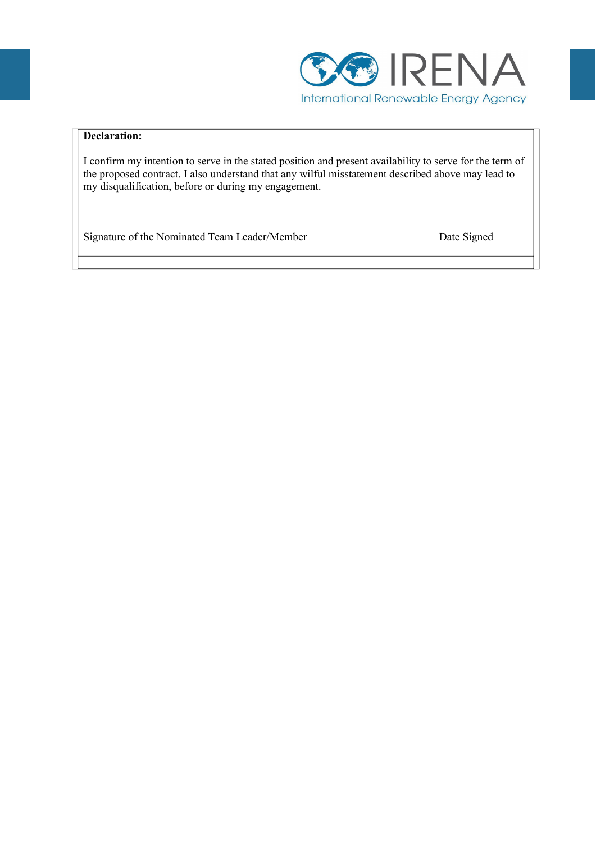

# **Declaration:**

I confirm my intention to serve in the stated position and present availability to serve for the term of the proposed contract. I also understand that any wilful misstatement described above may lead to my disqualification, before or during my engagement.

Signature of the Nominated Team Leader/Member Date Signed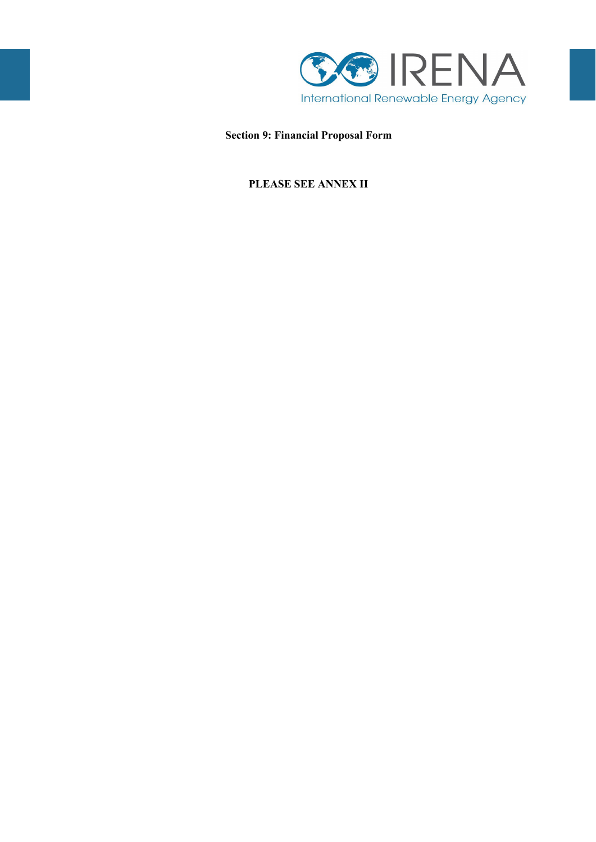

**Section 9: Financial Proposal Form**

# **PLEASE SEE ANNEX II**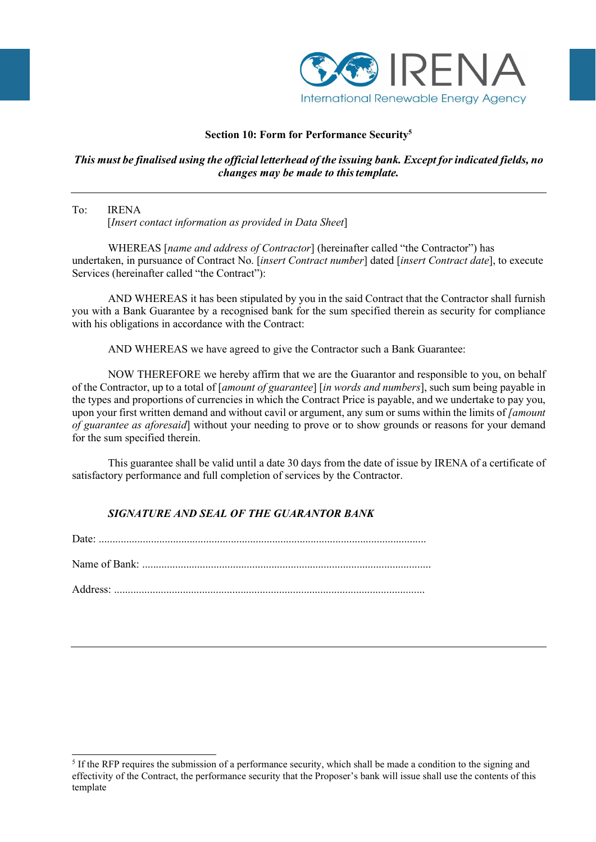

# **Section 10: Form for Performance Securit[y5](#page-44-0)**

# *This must be finalised using the official letterhead of the issuing bank. Except forindicated fields, no changes may be made to thistemplate.*

# To: IRENA

[*Insert contact information as provided in Data Sheet*]

WHEREAS [*name and address of Contractor*] (hereinafter called "the Contractor") has undertaken, in pursuance of Contract No. [*insert Contract number*] dated [*insert Contract date*], to execute Services (hereinafter called "the Contract"):

AND WHEREAS it has been stipulated by you in the said Contract that the Contractor shall furnish you with a Bank Guarantee by a recognised bank for the sum specified therein as security for compliance with his obligations in accordance with the Contract:

AND WHEREAS we have agreed to give the Contractor such a Bank Guarantee:

NOW THEREFORE we hereby affirm that we are the Guarantor and responsible to you, on behalf of the Contractor, up to a total of [*amount of guarantee*] [*in words and numbers*], such sum being payable in the types and proportions of currencies in which the Contract Price is payable, and we undertake to pay you, upon your first written demand and without cavil or argument, any sum or sums within the limits of *[amount of guarantee as aforesaid*] without your needing to prove or to show grounds or reasons for your demand for the sum specified therein.

This guarantee shall be valid until a date 30 days from the date of issue by IRENA of a certificate of satisfactory performance and full completion of services by the Contractor.

# *SIGNATURE AND SEAL OF THE GUARANTOR BANK*

Date: ....................................................................................................................... Name of Bank: .........................................................................................................

Address: .................................................................................................................

<span id="page-44-0"></span><sup>5</sup> If the RFP requires the submission of a performance security, which shall be made a condition to the signing and effectivity of the Contract, the performance security that the Proposer's bank will issue shall use the contents of this template